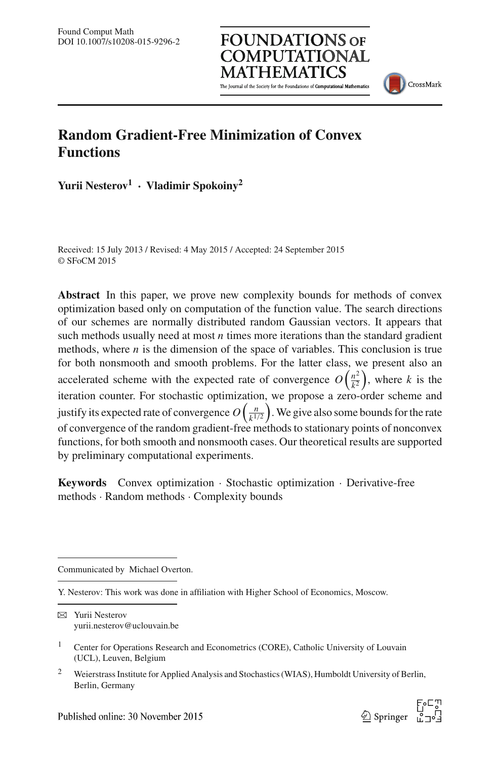The Journal of the Society for the Foundations of Computational Mathematics

**FOUNDATIONS OF COMPUTATIONAL** 



## **Random Gradient-Free Minimization of Convex Functions**

**Yurii Nesterov<sup>1</sup>** · **Vladimir Spokoiny<sup>2</sup>**

Received: 15 July 2013 / Revised: 4 May 2015 / Accepted: 24 September 2015 © SFoCM 2015

**Abstract** In this paper, we prove new complexity bounds for methods of convex optimization based only on computation of the function value. The search directions of our schemes are normally distributed random Gaussian vectors. It appears that such methods usually need at most *n* times more iterations than the standard gradient methods, where *n* is the dimension of the space of variables. This conclusion is true for both nonsmooth and smooth problems. For the latter class, we present also an accelerated scheme with the expected rate of convergence  $O\left(\frac{n^2}{k^2}\right)$  $\left(\frac{n^2}{k^2}\right)$ , where *k* is the iteration counter. For stochastic optimization, we propose a zero-order scheme and justify its expected rate of convergence  $O\left(\frac{n}{k!}\right)$  $\frac{n}{k^{1/2}}$ . We give also some bounds for the rate of convergence of the random gradient-free methods to stationary points of nonconvex functions, for both smooth and nonsmooth cases. Our theoretical results are supported by preliminary computational experiments.

**Keywords** Convex optimization · Stochastic optimization · Derivative-free methods · Random methods · Complexity bounds

Communicated by Michael Overton.

<sup>&</sup>lt;sup>2</sup> Weierstrass Institute for Applied Analysis and Stochastics (WIAS), Humboldt University of Berlin, Berlin, Germany



Y. Nesterov: This work was done in affiliation with Higher School of Economics, Moscow.

 $\boxtimes$  Yurii Nesterov yurii.nesterov@uclouvain.be

<sup>1</sup> Center for Operations Research and Econometrics (CORE), Catholic University of Louvain (UCL), Leuven, Belgium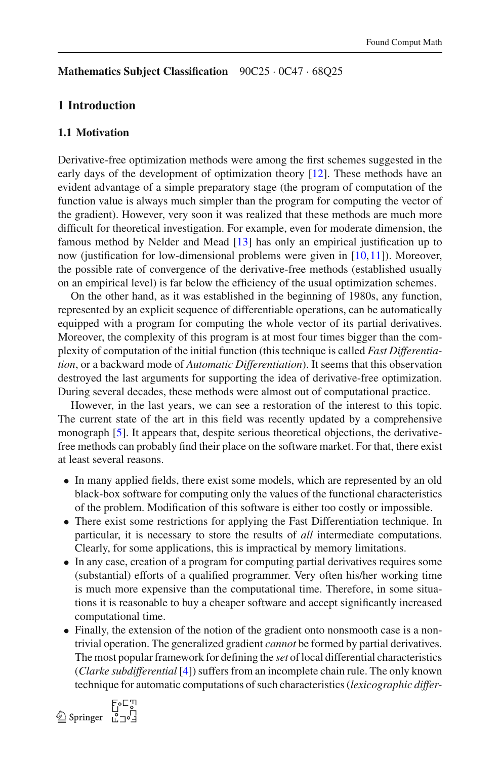#### **Mathematics Subject Classification** 90C25 · 0C47 · 68Q25

#### **1 Introduction**

#### **1.1 Motivation**

Derivative-free optimization methods were among the first schemes suggested in the early days of the development of optimization theory [\[12\]](#page-38-0). These methods have an evident advantage of a simple preparatory stage (the program of computation of the function value is always much simpler than the program for computing the vector of the gradient). However, very soon it was realized that these methods are much more difficult for theoretical investigation. For example, even for moderate dimension, the famous method by Nelder and Mead [\[13\]](#page-38-1) has only an empirical justification up to now (justification for low-dimensional problems were given in [\[10](#page-38-2),[11\]](#page-38-3)). Moreover, the possible rate of convergence of the derivative-free methods (established usually on an empirical level) is far below the efficiency of the usual optimization schemes.

On the other hand, as it was established in the beginning of 1980s, any function, represented by an explicit sequence of differentiable operations, can be automatically equipped with a program for computing the whole vector of its partial derivatives. Moreover, the complexity of this program is at most four times bigger than the complexity of computation of the initial function (this technique is called *Fast Differentiation*, or a backward mode of *Automatic Differentiation*). It seems that this observation destroyed the last arguments for supporting the idea of derivative-free optimization. During several decades, these methods were almost out of computational practice.

However, in the last years, we can see a restoration of the interest to this topic. The current state of the art in this field was recently updated by a comprehensive monograph [\[5](#page-38-4)]. It appears that, despite serious theoretical objections, the derivativefree methods can probably find their place on the software market. For that, there exist at least several reasons.

- In many applied fields, there exist some models, which are represented by an old black-box software for computing only the values of the functional characteristics of the problem. Modification of this software is either too costly or impossible.
- There exist some restrictions for applying the Fast Differentiation technique. In particular, it is necessary to store the results of *all* intermediate computations. Clearly, for some applications, this is impractical by memory limitations.
- In any case, creation of a program for computing partial derivatives requires some (substantial) efforts of a qualified programmer. Very often his/her working time is much more expensive than the computational time. Therefore, in some situations it is reasonable to buy a cheaper software and accept significantly increased computational time.
- Finally, the extension of the notion of the gradient onto nonsmooth case is a nontrivial operation. The generalized gradient *cannot* be formed by partial derivatives. The most popular framework for defining the *set* of local differential characteristics (*Clarke subdifferential* [\[4\]](#page-38-5)) suffers from an incomplete chain rule. The only known technique for automatic computations of such characteristics (*lexicographic differ-*

 $\circled{2}$  Springer  $\bar{L}$   $\exists$   $\circ$   $\exists$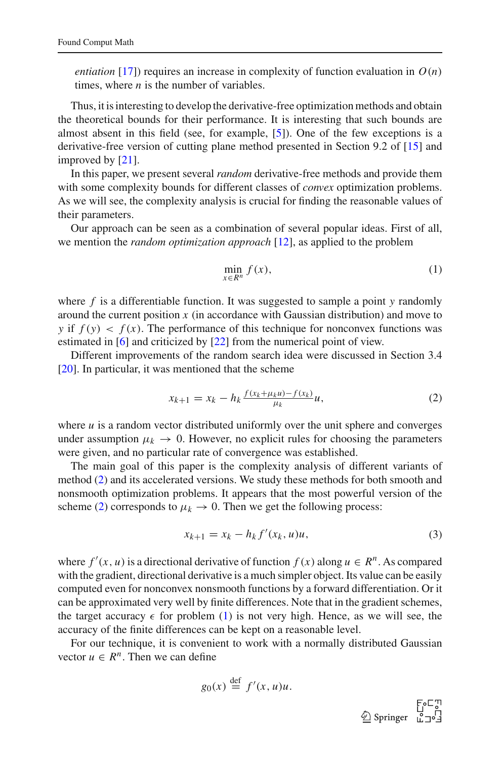*entiation* [\[17](#page-39-0)]) requires an increase in complexity of function evaluation in  $O(n)$ times, where *n* is the number of variables.

Thus, it is interesting to develop the derivative-free optimization methods and obtain the theoretical bounds for their performance. It is interesting that such bounds are almost absent in this field (see, for example, [\[5](#page-38-4)]). One of the few exceptions is a derivative-free version of cutting plane method presented in Section 9.2 of [\[15](#page-39-1)] and improved by [\[21\]](#page-39-2).

In this paper, we present several *random* derivative-free methods and provide them with some complexity bounds for different classes of *convex* optimization problems. As we will see, the complexity analysis is crucial for finding the reasonable values of their parameters.

Our approach can be seen as a combination of several popular ideas. First of all, we mention the *random optimization approach* [\[12\]](#page-38-0), as applied to the problem

<span id="page-2-1"></span>
$$
\min_{x \in R^n} f(x),\tag{1}
$$

where *f* is a differentiable function. It was suggested to sample a point *y* randomly around the current position *x* (in accordance with Gaussian distribution) and move to *y* if  $f(y) < f(x)$ . The performance of this technique for nonconvex functions was estimated in [\[6\]](#page-38-6) and criticized by [\[22\]](#page-39-3) from the numerical point of view.

Different improvements of the random search idea were discussed in Section 3.4 [\[20](#page-39-4)]. In particular, it was mentioned that the scheme

$$
x_{k+1} = x_k - h_k \frac{f(x_k + \mu_k u) - f(x_k)}{\mu_k} u,
$$
\n(2)

<span id="page-2-0"></span>where  $u$  is a random vector distributed uniformly over the unit sphere and converges under assumption  $\mu_k \to 0$ . However, no explicit rules for choosing the parameters were given, and no particular rate of convergence was established.

The main goal of this paper is the complexity analysis of different variants of method [\(2\)](#page-2-0) and its accelerated versions. We study these methods for both smooth and nonsmooth optimization problems. It appears that the most powerful version of the scheme [\(2\)](#page-2-0) corresponds to  $\mu_k \to 0$ . Then we get the following process:

$$
x_{k+1} = x_k - h_k f'(x_k, u)u,
$$
\n(3)

<span id="page-2-2"></span>where  $f'(x, u)$  is a directional derivative of function  $f(x)$  along  $u \in R^n$ . As compared with the gradient, directional derivative is a much simpler object. Its value can be easily computed even for nonconvex nonsmooth functions by a forward differentiation. Or it can be approximated very well by finite differences. Note that in the gradient schemes, the target accuracy  $\epsilon$  for problem [\(1\)](#page-2-1) is not very high. Hence, as we will see, the accuracy of the finite differences can be kept on a reasonable level.

For our technique, it is convenient to work with a normally distributed Gaussian vector  $u \in R^n$ . Then we can define

$$
g_0(x) \stackrel{\text{def}}{=} f'(x, u)u.
$$

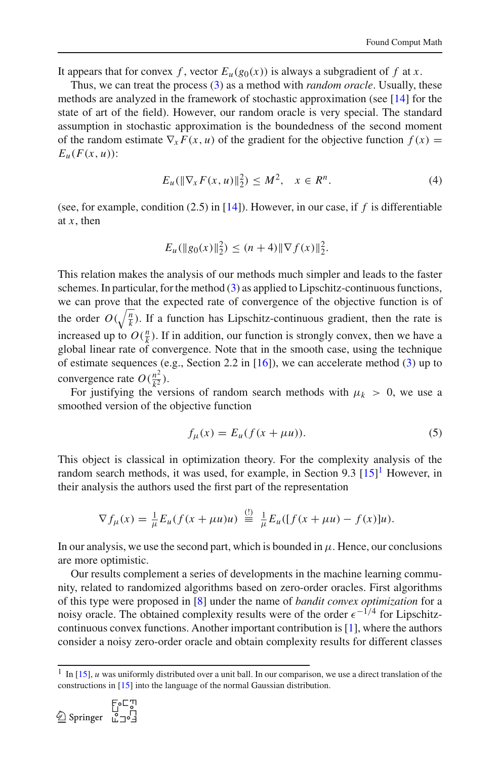It appears that for convex f, vector  $E_u(g_0(x))$  is always a subgradient of f at *x*.

Thus, we can treat the process [\(3\)](#page-2-2) as a method with *random oracle*. Usually, these methods are analyzed in the framework of stochastic approximation (see [\[14\]](#page-39-5) for the state of art of the field). However, our random oracle is very special. The standard assumption in stochastic approximation is the boundedness of the second moment of the random estimate  $\nabla_x F(x, u)$  of the gradient for the objective function  $f(x) =$  $E_u(F(x, u))$ :

$$
E_u(\|\nabla_x F(x, u)\|_2^2) \le M^2, \quad x \in R^n. \tag{4}
$$

(see, for example, condition (2.5) in [\[14\]](#page-39-5)). However, in our case, if *f* is differentiable at *x*, then

$$
E_u(\|g_0(x)\|_2^2) \le (n+4) \|\nabla f(x)\|_2^2.
$$

This relation makes the analysis of our methods much simpler and leads to the faster schemes. In particular, for the method [\(3\)](#page-2-2) as applied to Lipschitz-continuous functions, we can prove that the expected rate of convergence of the objective function is of the order  $O(\sqrt{\frac{n}{k}})$ . If a function has Lipschitz-continuous gradient, then the rate is increased up to  $O(\frac{n}{k})$ . If in addition, our function is strongly convex, then we have a global linear rate of convergence. Note that in the smooth case, using the technique of estimate sequences (e.g., Section 2.2 in [\[16](#page-39-6)]), we can accelerate method [\(3\)](#page-2-2) up to convergence rate  $O(\frac{n^2}{k^2})$  $\frac{1}{2}$ ).

For justifying the versions of random search methods with  $\mu_k > 0$ , we use a smoothed version of the objective function

$$
f_{\mu}(x) = E_{u}(f(x + \mu u)).
$$
\n(5)

<span id="page-3-1"></span>This object is classical in optimization theory. For the complexity analysis of the random search methods, it was used, for example, in Section 9.3 [\[15\]](#page-39-1)<sup>[1](#page-3-0)</sup> However, in their analysis the authors used the first part of the representation

$$
\nabla f_{\mu}(x) = \frac{1}{\mu} E_{\mu}(f(x + \mu u)u) \stackrel{(!)}{=} \frac{1}{\mu} E_{\mu}([f(x + \mu u) - f(x)]u).
$$

In our analysis, we use the second part, which is bounded in  $\mu$ . Hence, our conclusions are more optimistic.

Our results complement a series of developments in the machine learning community, related to randomized algorithms based on zero-order oracles. First algorithms of this type were proposed in [\[8](#page-38-7)] under the name of *bandit convex optimization* for a noisy oracle. The obtained complexity results were of the order  $\epsilon^{-1/4}$  for Lipschitzcontinuous convex functions. Another important contribution is [\[1\]](#page-38-8), where the authors consider a noisy zero-order oracle and obtain complexity results for different classes

<span id="page-3-0"></span><sup>&</sup>lt;sup>1</sup> In [\[15\]](#page-39-1), *u* was uniformly distributed over a unit ball. In our comparison, we use a direct translation of the constructions in [\[15](#page-39-1)] into the language of the normal Gaussian distribution.

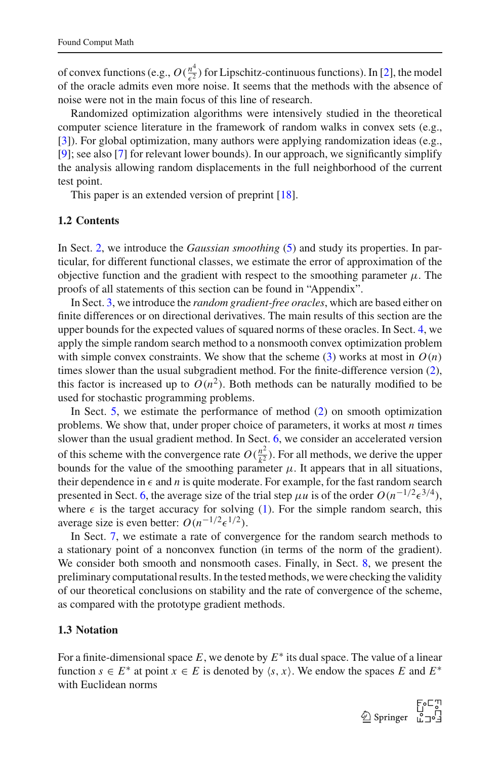of convex functions (e.g.,  $O(\frac{n^4}{\epsilon^2})$  $\frac{n}{\epsilon^2}$ ) for Lipschitz-continuous functions). In [\[2\]](#page-38-9), the model of the oracle admits even more noise. It seems that the methods with the absence of noise were not in the main focus of this line of research.

Randomized optimization algorithms were intensively studied in the theoretical computer science literature in the framework of random walks in convex sets (e.g., [\[3](#page-38-10)]). For global optimization, many authors were applying randomization ideas (e.g., [\[9](#page-38-11)]; see also [\[7\]](#page-38-12) for relevant lower bounds). In our approach, we significantly simplify the analysis allowing random displacements in the full neighborhood of the current test point.

This paper is an extended version of preprint [\[18](#page-39-7)].

#### **1.2 Contents**

In Sect. [2,](#page-5-0) we introduce the *Gaussian smoothing* [\(5\)](#page-3-1) and study its properties. In particular, for different functional classes, we estimate the error of approximation of the objective function and the gradient with respect to the smoothing parameter  $\mu$ . The proofs of all statements of this section can be found in "Appendix".

In Sect. [3,](#page-9-0) we introduce the *random gradient-free oracles*, which are based either on finite differences or on directional derivatives. The main results of this section are the upper bounds for the expected values of squared norms of these oracles. In Sect. [4,](#page-13-0) we apply the simple random search method to a nonsmooth convex optimization problem with simple convex constraints. We show that the scheme  $(3)$  works at most in  $O(n)$ times slower than the usual subgradient method. For the finite-difference version [\(2\)](#page-2-0), this factor is increased up to  $O(n^2)$ . Both methods can be naturally modified to be used for stochastic programming problems.

In Sect. [5,](#page-18-0) we estimate the performance of method [\(2\)](#page-2-0) on smooth optimization problems. We show that, under proper choice of parameters, it works at most *n* times slower than the usual gradient method. In Sect. [6,](#page-21-0) we consider an accelerated version of this scheme with the convergence rate  $O(\frac{n^2}{k^2})$  $\frac{n^2}{k^2}$ ). For all methods, we derive the upper bounds for the value of the smoothing parameter  $\mu$ . It appears that in all situations, their dependence in  $\epsilon$  and *n* is quite moderate. For example, for the fast random search presented in Sect. [6,](#page-21-0) the average size of the trial step  $\mu u$  is of the order  $O(n^{-1/2} \epsilon^{3/4})$ , where  $\epsilon$  is the target accuracy for solving [\(1\)](#page-2-1). For the simple random search, this average size is even better:  $O(n^{-1/2} \epsilon^{1/2})$ .

In Sect. [7,](#page-25-0) we estimate a rate of convergence for the random search methods to a stationary point of a nonconvex function (in terms of the norm of the gradient). We consider both smooth and nonsmooth cases. Finally, in Sect. [8,](#page-27-0) we present the preliminary computational results. In the tested methods, we were checking the validity of our theoretical conclusions on stability and the rate of convergence of the scheme, as compared with the prototype gradient methods.

#### **1.3 Notation**

For a finite-dimensional space *E*, we denote by *E* ∗ its dual space. The value of a linear function  $s \in E^*$  at point  $x \in E$  is denoted by  $\langle s, x \rangle$ . We endow the spaces *E* and  $E^*$ with Euclidean norms

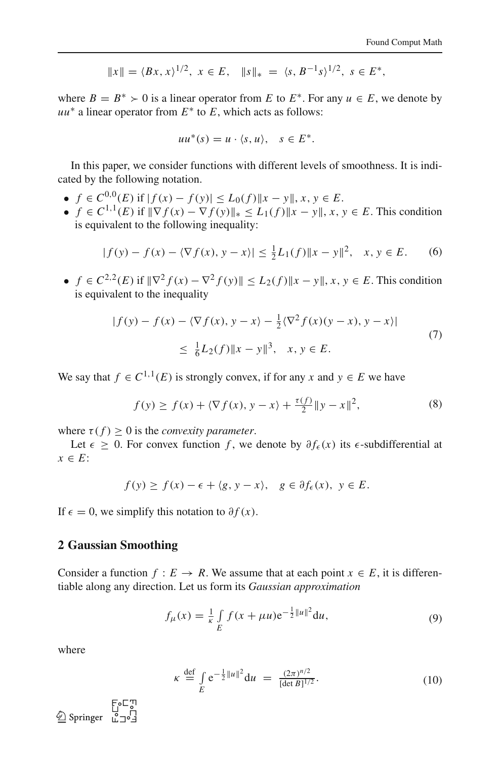$$
||x|| = \langle Bx, x \rangle^{1/2}, \ x \in E, \quad ||s||_* = \langle s, B^{-1}s \rangle^{1/2}, \ s \in E^*,
$$

where  $B = B^* > 0$  is a linear operator from *E* to  $E^*$ . For any  $u \in E$ , we denote by *uu*∗ a linear operator from *E* ∗ to *E*, which acts as follows:

$$
uu^*(s) = u \cdot \langle s, u \rangle, \quad s \in E^*.
$$

In this paper, we consider functions with different levels of smoothness. It is indicated by the following notation.

- $\bullet$  *f* ∈ *C*<sup>0,0</sup>(*E*) if  $|f(x) f(y)| \le L_0(f) ||x y||, x, y \in E$ .
- *f* ∈ *C*<sup>1,1</sup>(*E*) if  $||\nabla f(x) \nabla f(y)||_* \le L_1(f) ||x y||, x, y \in E$ . This condition is equivalent to the following inequality:

$$
|f(y) - f(x) - \langle \nabla f(x), y - x \rangle| \le \frac{1}{2} L_1(f) \|x - y\|^2, \quad x, y \in E. \tag{6}
$$

•  $f \in C^{2,2}(E)$  if  $\|\nabla^2 f(x) - \nabla^2 f(y)\| \le L_2(f) \|x - y\|, x, y \in E$ . This condition is equivalent to the inequality

$$
|f(y) - f(x) - \langle \nabla f(x), y - x \rangle| - \frac{1}{2} \langle \nabla^2 f(x)(y - x), y - x \rangle|
$$
  

$$
\leq \frac{1}{6} L_2(f) \|x - y\|^3, \quad x, y \in E.
$$
 (7)

We say that  $f \in C^{1,1}(E)$  is strongly convex, if for any *x* and  $y \in E$  we have

$$
f(y) \ge f(x) + \langle \nabla f(x), y - x \rangle + \frac{\tau(f)}{2} \|y - x\|^2,
$$
 (8)

where  $\tau(f) > 0$  is the *convexity parameter*.

Let  $\epsilon > 0$ . For convex function *f*, we denote by  $\partial f_{\epsilon}(x)$  its  $\epsilon$ -subdifferential at *x* ∈ *E*:

$$
f(y) \ge f(x) - \epsilon + \langle g, y - x \rangle, \quad g \in \partial f_{\epsilon}(x), \ y \in E.
$$

If  $\epsilon = 0$ , we simplify this notation to  $\partial f(x)$ .

#### <span id="page-5-0"></span>**2 Gaussian Smoothing**

Consider a function  $f : E \to R$ . We assume that at each point  $x \in E$ , it is differentiable along any direction. Let us form its *Gaussian approximation*

$$
f_{\mu}(x) = \frac{1}{\kappa} \int\limits_{E} f(x + \mu u) e^{-\frac{1}{2}||u||^2} du,
$$
 (9)

<span id="page-5-2"></span>where

$$
\kappa \stackrel{\text{def}}{=} \int_{E} e^{-\frac{1}{2}||u||^2} du = \frac{(2\pi)^{n/2}}{[\det B]^{1/2}}.
$$
 (10)

<span id="page-5-1"></span> $\bigcirc$  Springer  $\overline{u}$ :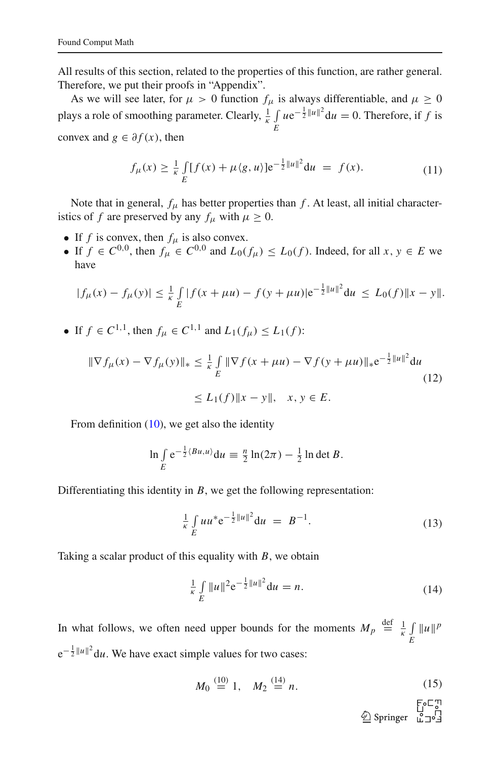All results of this section, related to the properties of this function, are rather general. Therefore, we put their proofs in "Appendix".

As we will see later, for  $\mu > 0$  function  $f_{\mu}$  is always differentiable, and  $\mu \ge 0$ plays a role of smoothing parameter. Clearly,  $\frac{1}{\kappa} \int$ *E*  $ue^{-\frac{1}{2}||u||^2}du = 0$ . Therefore, if *f* is convex and  $g \in \partial f(x)$ , then

$$
f_{\mu}(x) \ge \frac{1}{\kappa} \int\limits_{E} [f(x) + \mu \langle g, u \rangle] e^{-\frac{1}{2} ||u||^2} du = f(x).
$$
 (11)

Note that in general,  $f_\mu$  has better properties than  $f$ . At least, all initial characteristics of *f* are preserved by any  $f_{\mu}$  with  $\mu \ge 0$ .

- If  $f$  is convex, then  $f_\mu$  is also convex.
- If *f* ∈  $C^{0,0}$ , then  $f_\mu$  ∈  $C^{0,0}$  and  $L_0(f_\mu) \le L_0(f)$ . Indeed, for all *x*, *y* ∈ *E* we have

$$
|f_{\mu}(x) - f_{\mu}(y)| \leq \frac{1}{\kappa} \int\limits_{E} |f(x + \mu u) - f(y + \mu u)| e^{-\frac{1}{2}||u||^2} du \leq L_0(f) ||x - y||.
$$

• If  $f \in C^{1,1}$ , then  $f_{\mu} \in C^{1,1}$  and  $L_1(f_{\mu}) \le L_1(f)$ :

$$
\|\nabla f_{\mu}(x) - \nabla f_{\mu}(y)\|_{*} \leq \frac{1}{\kappa} \int_{E} \|\nabla f(x + \mu u) - \nabla f(y + \mu u)\|_{*} e^{-\frac{1}{2} \|u\|^{2}} du
$$
  
\n
$$
\leq L_{1}(f) \|x - y\|, \quad x, y \in E.
$$
\n(12)

From definition [\(10\)](#page-5-1), we get also the identity

$$
\ln \int\limits_E e^{-\frac{1}{2}\langle Bu, u\rangle} \mathrm{d}u \equiv \frac{n}{2} \ln(2\pi) - \frac{1}{2} \ln \det B.
$$

<span id="page-6-0"></span>Differentiating this identity in *B*, we get the following representation:

$$
\frac{1}{\kappa} \int_{E} u u^* e^{-\frac{1}{2} ||u||^2} du = B^{-1}.
$$
 (13)

Taking a scalar product of this equality with *B*, we obtain

$$
\frac{1}{\kappa} \int\limits_{E} \|u\|^2 e^{-\frac{1}{2} \|u\|^2} du = n.
$$
 (14)

In what follows, we often need upper bounds for the moments  $M_p \stackrel{\text{def}}{=} \frac{1}{\kappa} \int$  $\int_E ||u||^p$  $e^{-\frac{1}{2}||u||^2}$ du. We have exact simple values for two cases:

$$
M_0 \stackrel{(10)}{=} 1, \quad M_2 \stackrel{(14)}{=} n. \tag{15}
$$

 $\overset{\bigoplus}{\underline{\mathbb{Q}}}$  Springer  $\overset{\text{Fol}}{\underset{\text{L}}{\mathbb{Q}}}$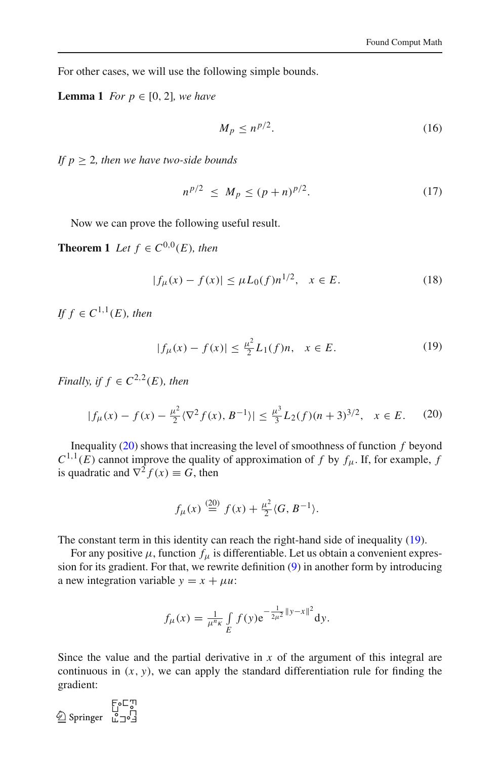For other cases, we will use the following simple bounds.

**Lemma 1** *For*  $p \in [0, 2]$ *, we have* 

<span id="page-7-3"></span>
$$
M_p \le n^{p/2}.\tag{16}
$$

*If*  $p \geq 2$ *, then we have two-side bounds* 

<span id="page-7-5"></span><span id="page-7-4"></span>
$$
n^{p/2} \le M_p \le (p+n)^{p/2}.
$$
 (17)

<span id="page-7-2"></span>Now we can prove the following useful result.

**Theorem 1** *Let*  $f \in C^{0,0}(E)$ *, then* 

$$
|f_{\mu}(x) - f(x)| \le \mu L_0(f) n^{1/2}, \quad x \in E. \tag{18}
$$

<span id="page-7-1"></span> $If f \in C^{1,1}(E)$ , then

$$
|f_{\mu}(x) - f(x)| \le \frac{\mu^2}{2} L_1(f)n, \quad x \in E. \tag{19}
$$

*Finally, if*  $f \in C^{2,2}(E)$ *, then* 

$$
|f_{\mu}(x) - f(x) - \frac{\mu^2}{2} \langle \nabla^2 f(x), B^{-1} \rangle| \le \frac{\mu^3}{3} L_2(f)(n+3)^{3/2}, \quad x \in E. \tag{20}
$$

<span id="page-7-0"></span>Inequality [\(20\)](#page-7-0) shows that increasing the level of smoothness of function *f* beyond  $C^{1,1}(E)$  cannot improve the quality of approximation of *f* by  $f_\mu$ . If, for example, *f* is quadratic and  $\nabla^2 f(x) \equiv G$ , then

$$
f_{\mu}(x) \stackrel{(20)}{=} f(x) + \frac{\mu^2}{2} \langle G, B^{-1} \rangle.
$$

The constant term in this identity can reach the right-hand side of inequality [\(19\)](#page-7-1).

For any positive  $\mu$ , function  $f_{\mu}$  is differentiable. Let us obtain a convenient expression for its gradient. For that, we rewrite definition [\(9\)](#page-5-2) in another form by introducing a new integration variable  $y = x + \mu u$ :

$$
f_{\mu}(x) = \frac{1}{\mu^{n_{K}}} \int_{E} f(y) e^{-\frac{1}{2\mu^{2}} \|y - x\|^{2}} dy.
$$

Since the value and the partial derivative in *x* of the argument of this integral are continuous in  $(x, y)$ , we can apply the standard differentiation rule for finding the gradient:

الل⊃ة E<br>| Springer<br>12°5 Springer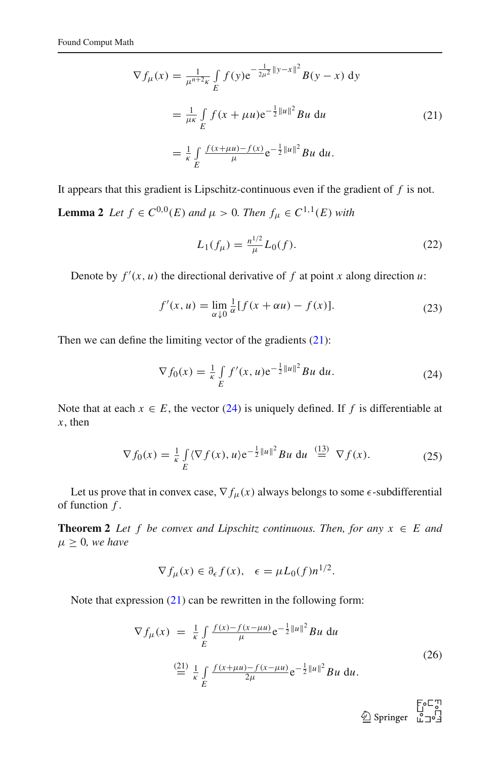$$
\nabla f_{\mu}(x) = \frac{1}{\mu^{n+2\kappa}} \int_{E} f(y) e^{-\frac{1}{2\mu^{2}} \|y - x\|^{2}} B(y - x) dy
$$
  

$$
= \frac{1}{\mu\kappa} \int_{E} f(x + \mu u) e^{-\frac{1}{2} \|u\|^{2}} B u du
$$
 (21)  

$$
= \frac{1}{\kappa} \int_{E} \frac{f(x + \mu u) - f(x)}{\mu} e^{-\frac{1}{2} \|u\|^{2}} B u du.
$$

<span id="page-8-0"></span>It appears that this gradient is Lipschitz-continuous even if the gradient of *f* is not. **Lemma 2** *Let*  $f \in C^{0,0}(E)$  *and*  $\mu > 0$ *. Then*  $f_{\mu} \in C^{1,1}(E)$  *with* 

<span id="page-8-6"></span>
$$
L_1(f_\mu) = \frac{n^{1/2}}{\mu} L_0(f). \tag{22}
$$

Denote by  $f'(x, u)$  the directional derivative of  $f$  at point  $x$  along direction  $u$ :

$$
f'(x, u) = \lim_{\alpha \downarrow 0} \frac{1}{\alpha} [f(x + \alpha u) - f(x)].
$$
\n(23)

<span id="page-8-1"></span>Then we can define the limiting vector of the gradients  $(21)$ :

$$
\nabla f_0(x) = \frac{1}{\kappa} \int\limits_E f'(x, u) e^{-\frac{1}{2} ||u||^2} Bu \, du. \tag{24}
$$

Note that at each  $x \in E$ , the vector [\(24\)](#page-8-1) is uniquely defined. If f is differentiable at *x*, then

$$
\nabla f_0(x) = \frac{1}{\kappa} \int\limits_E \langle \nabla f(x), u \rangle e^{-\frac{1}{2}||u||^2} Bu \, du \stackrel{(13)}{=} \nabla f(x). \tag{25}
$$

<span id="page-8-5"></span><span id="page-8-3"></span>Let us prove that in convex case,  $\nabla f_\mu(x)$  always belongs to some  $\epsilon$ -subdifferential of function *f* .

**Theorem 2** *Let f be convex and Lipschitz continuous. Then, for any*  $x \in E$  *and*  $\mu \geq 0$ *, we have* 

$$
\nabla f_{\mu}(x) \in \partial_{\epsilon} f(x), \quad \epsilon = \mu L_0(f) n^{1/2}.
$$

<span id="page-8-4"></span><span id="page-8-2"></span>Note that expression [\(21\)](#page-8-0) can be rewritten in the following form:

$$
\nabla f_{\mu}(x) = \frac{1}{\kappa} \int_{E} \frac{f(x) - f(x - \mu u)}{\mu} e^{-\frac{1}{2} ||u||^2} Bu \, du
$$
\n
$$
\stackrel{(21)}{=} \frac{1}{\kappa} \int_{E} \frac{f(x + \mu u) - f(x - \mu u)}{2\mu} e^{-\frac{1}{2} ||u||^2} Bu \, du.
$$
\n(26)

 $\overset{\bigcirc}{\underline{\otimes}}$  Springer  $\overset{\bigcup}{\phantom{\bigcup}}$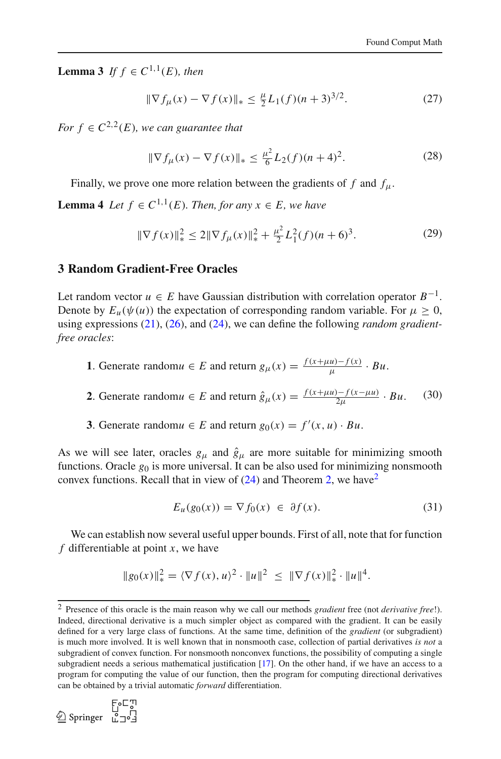**Lemma 3** *If*  $f \in C^{1,1}(E)$ *, then* 

$$
\|\nabla f_{\mu}(x) - \nabla f(x)\|_{*} \le \frac{\mu}{2} L_1(f)(n+3)^{3/2}.
$$
 (27)

*For*  $f \in C^{2,2}(E)$ , we can guarantee that

<span id="page-9-3"></span>
$$
\|\nabla f_{\mu}(x) - \nabla f(x)\|_{*} \le \frac{\mu^{2}}{6} L_{2}(f)(n+4)^{2}.
$$
 (28)

Finally, we prove one more relation between the gradients of  $f$  and  $f_{\mu}$ .

**Lemma 4** *Let*  $f \in C^{1,1}(E)$ *. Then, for any*  $x \in E$ *, we have* 

$$
\|\nabla f(x)\|_{*}^{2} \le 2\|\nabla f_{\mu}(x)\|_{*}^{2} + \frac{\mu^{2}}{2}L_{1}^{2}(f)(n+6)^{3}.
$$
 (29)

#### <span id="page-9-0"></span>**3 Random Gradient-Free Oracles**

Let random vector  $u \in E$  have Gaussian distribution with correlation operator  $B^{-1}$ . Denote by  $E_u(\psi(u))$  the expectation of corresponding random variable. For  $\mu \geq 0$ , using expressions [\(21\)](#page-8-0), [\(26\)](#page-8-2), and [\(24\)](#page-8-1), we can define the following *random gradientfree oracles*:

- **1**. Generate random $u \in E$  and return  $g_{\mu}(x) = \frac{f(x + \mu u) f(x)}{\mu} \cdot Bu$ .
- **2**. Generate random $u \in E$  and return  $\hat{g}_{\mu}(x) = \frac{f(x + \mu u) f(x \mu u)}{2\mu} \cdot Bu$ . (30)
- **3**. Generate random $u \in E$  and return  $g_0(x) = f'(x, u) \cdot Bu$ .

<span id="page-9-2"></span>As we will see later, oracles  $g_{\mu}$  and  $\hat{g}_{\mu}$  are more suitable for minimizing smooth functions. Oracle  $g_0$  is more universal. It can be also used for minimizing nonsmooth convex functions. Recall that in view of  $(24)$  and Theorem [2,](#page-8-3) we have<sup>[2](#page-9-1)</sup>

$$
E_u(g_0(x)) = \nabla f_0(x) \in \partial f(x). \tag{31}
$$

We can establish now several useful upper bounds. First of all, note that for function *f* differentiable at point *x*, we have

$$
\|g_0(x)\|_*^2 = \langle \nabla f(x), u \rangle^2 \cdot \|u\|^2 \leq \|\nabla f(x)\|_*^2 \cdot \|u\|^4.
$$

<span id="page-9-1"></span><sup>2</sup> Presence of this oracle is the main reason why we call our methods *gradient* free (not *derivative free*!). Indeed, directional derivative is a much simpler object as compared with the gradient. It can be easily defined for a very large class of functions. At the same time, definition of the *gradient* (or subgradient) is much more involved. It is well known that in nonsmooth case, collection of partial derivatives *is not* a subgradient of convex function. For nonsmooth nonconvex functions, the possibility of computing a single subgradient needs a serious mathematical justification [\[17\]](#page-39-0). On the other hand, if we have an access to a program for computing the value of our function, then the program for computing directional derivatives can be obtained by a trivial automatic *forward* differentiation.

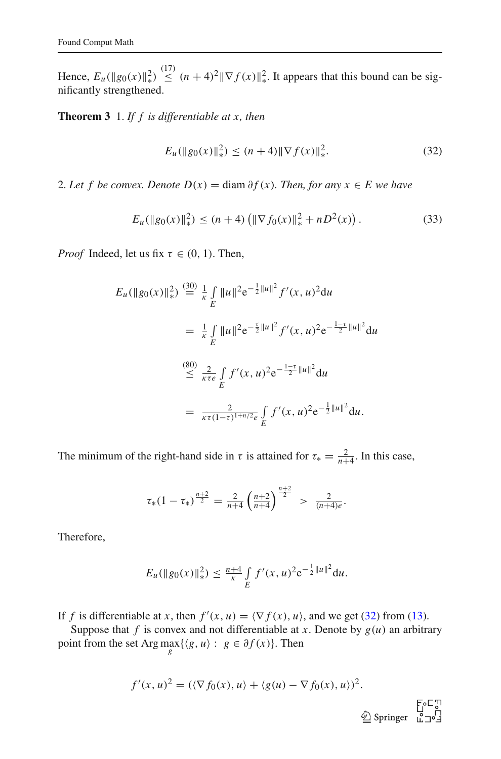Hence,  $E_u(\|g_0(x)\|_*^2)$  $\int_{0}^{2} \leq (n+4)^2 \|\nabla f(x)\|_{*}^{2}$ ∗ . It appears that this bound can be significantly strengthened.

<span id="page-10-0"></span>**Theorem 3** 1. *If f is differentiable at x, then*

$$
E_u(\|g_0(x)\|_{*}^2) \le (n+4) \|\nabla f(x)\|_{*}^2. \tag{32}
$$

2. Let f be convex. Denote  $D(x) = \text{diam }\partial f(x)$ . Then, for any  $x \in E$  we have

$$
E_u(\|g_0(x)\|_*^2) \le (n+4) \left( \|\nabla f_0(x)\|_*^2 + nD^2(x) \right). \tag{33}
$$

*Proof* Indeed, let us fix  $\tau \in (0, 1)$ . Then,

$$
E_u(||g_0(x)||_*^2) \stackrel{(30)}{=} \frac{1}{\kappa} \int_E ||u||^2 e^{-\frac{1}{2}||u||^2} f'(x, u)^2 du
$$
  
\n
$$
= \frac{1}{\kappa} \int_E ||u||^2 e^{-\frac{\tau}{2}||u||^2} f'(x, u)^2 e^{-\frac{1-\tau}{2}||u||^2} du
$$
  
\n
$$
\stackrel{(80)}{\leq} \frac{2}{\kappa \tau e} \int_E f'(x, u)^2 e^{-\frac{1-\tau}{2}||u||^2} du
$$
  
\n
$$
= \frac{2}{\kappa \tau (1-\tau)^{1+\eta/2} e} \int_E f'(x, u)^2 e^{-\frac{1}{2}||u||^2} du.
$$

The minimum of the right-hand side in  $\tau$  is attained for  $\tau_* = \frac{2}{n+4}$ . In this case,

$$
\tau_*(1-\tau_*)^{\frac{n+2}{2}} = \frac{2}{n+4} \left(\frac{n+2}{n+4}\right)^{\frac{n+2}{2}} > \frac{2}{(n+4)e}.
$$

Therefore,

$$
E_u(\|g_0(x)\|_{*}^2) \leq \frac{n+4}{\kappa} \int\limits_{E} f'(x,u)^2 e^{-\frac{1}{2}\|u\|^2} du.
$$

If *f* is differentiable at *x*, then  $f'(x, u) = \langle \nabla f(x), u \rangle$ , and we get [\(32\)](#page-10-0) from [\(13\)](#page-6-0).

Suppose that  $f$  is convex and not differentiable at  $x$ . Denote by  $g(u)$  an arbitrary point from the set Arg  $\max_{g} \{ \langle g, u \rangle : g \in \partial f(x) \}.$  Then

$$
f'(x, u)^2 = (\langle \nabla f_0(x), u \rangle + \langle g(u) - \nabla f_0(x), u \rangle)^2.
$$
  
 
$$
\circled{F}^{\subset \mathbb{C}^n}
$$
  
 
$$
\circled{F}^{\subset \mathbb{C}^n}
$$
  
 
$$
\circled{F}^{\subset \mathbb{C}^n}
$$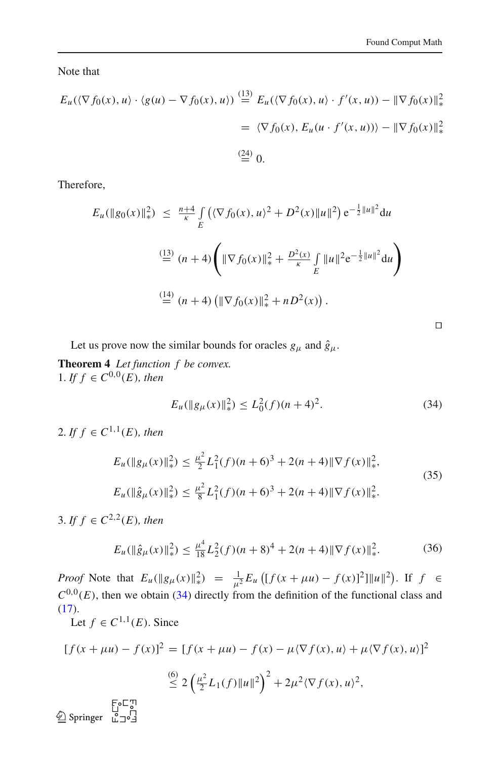Note that

$$
E_u(\langle \nabla f_0(x), u \rangle \cdot \langle g(u) - \nabla f_0(x), u \rangle) \stackrel{\text{(13)}}{=} E_u(\langle \nabla f_0(x), u \rangle \cdot f'(x, u)) - \|\nabla f_0(x)\|_*^2
$$

$$
= \langle \nabla f_0(x), E_u(u \cdot f'(x, u)) \rangle - \|\nabla f_0(x)\|_*^2
$$

$$
\stackrel{\text{(24)}}{=} 0.
$$

Therefore,

$$
E_u(\|g_0(x)\|_{*}^{2}) \leq \frac{n+4}{\kappa} \int_{E} (\langle \nabla f_0(x), u \rangle^{2} + D^{2}(x) \|u\|^{2}) e^{-\frac{1}{2} \|u\|^{2}} du
$$
  

$$
\stackrel{(13)}{=} (n+4) \left( \|\nabla f_0(x)\|_{*}^{2} + \frac{D^{2}(x)}{\kappa} \int_{E} \|u\|^{2} e^{-\frac{1}{2} \|u\|^{2}} du \right)
$$
  

$$
\stackrel{(14)}{=} (n+4) \left( \|\nabla f_0(x)\|_{*}^{2} + nD^{2}(x) \right).
$$

⊓⊔

Let us prove now the similar bounds for oracles  $g_{\mu}$  and  $\hat{g}_{\mu}$ .

**Theorem 4** *Let function f be convex.* 1. *If f* ∈  $C^{0,0}(E)$ *, then* 

$$
E_u(\|g_\mu(x)\|_\ast^2) \le L_0^2(f)(n+4)^2. \tag{34}
$$

<span id="page-11-1"></span><span id="page-11-0"></span>2. If  $f \in C^{1,1}(E)$ , then

$$
E_u(\|g_\mu(x)\|_\ast^2) \le \frac{\mu^2}{2} L_1^2(f)(n+6)^3 + 2(n+4)\|\nabla f(x)\|_\ast^2,
$$
  
\n
$$
E_u(\|\hat{g}_\mu(x)\|_\ast^2) \le \frac{\mu^2}{8} L_1^2(f)(n+6)^3 + 2(n+4)\|\nabla f(x)\|_\ast^2.
$$
\n(35)

3. *If f* ∈  $C^{2,2}(E)$ *, then* 

$$
E_u(\|\hat{g}_{\mu}(x)\|_{*}^2) \le \frac{\mu^4}{18}L_2^2(f)(n+8)^4 + 2(n+4)\|\nabla f(x)\|_{*}^2. \tag{36}
$$

<span id="page-11-2"></span>*Proof* Note that  $E_u(\|g_\mu(x)\|_\ast^2)$ 2) =  $\frac{1}{\mu^2} E_u \left[ [f(x + \mu u) - f(x)]^2 \right] ||u||^2$ ). If *f* ∈  $C^{0,0}(E)$ , then we obtain [\(34\)](#page-11-0) directly from the definition of the functional class and  $(17).$  $(17).$ 

Let  $f \in C^{1,1}(E)$ . Since

$$
[f(x + \mu u) - f(x)]^2 = [f(x + \mu u) - f(x) - \mu \langle \nabla f(x), u \rangle + \mu \langle \nabla f(x), u \rangle]^2
$$
  

$$
\stackrel{(6)}{\leq} 2 \left(\frac{\mu^2}{2} L_1(f) \|u\|^2\right)^2 + 2\mu^2 \langle \nabla f(x), u \rangle^2,
$$

 $\overline{2}$  Springer  $\overline{L}$   $\overline{2}$   $\overline{3}$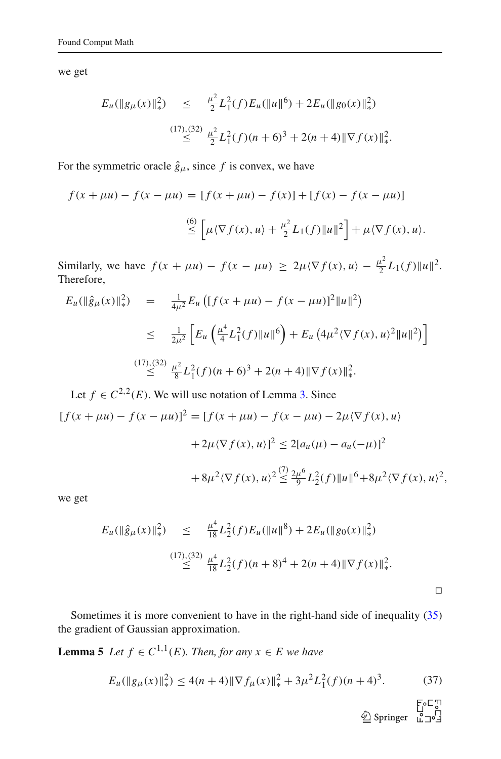we get

$$
E_u(\|g_\mu(x)\|_\ast^2) \leq \frac{\mu^2}{2} L_1^2(f) E_u(\|u\|^6) + 2E_u(\|g_0(x)\|_\ast^2)
$$
  

$$
\leq \frac{(17),(32)}{\leq} \frac{\mu^2}{2} L_1^2(f)(n+6)^3 + 2(n+4) \|\nabla f(x)\|_\ast^2.
$$

For the symmetric oracle  $\hat{g}_{\mu}$ , since f is convex, we have

$$
f(x + \mu u) - f(x - \mu u) = [f(x + \mu u) - f(x)] + [f(x) - f(x - \mu u)]
$$
  

$$
\overset{(6)}{\leq} \left[ \mu \langle \nabla f(x), u \rangle + \frac{\mu^2}{2} L_1(f) \|u\|^2 \right] + \mu \langle \nabla f(x), u \rangle.
$$

Similarly, we have  $f(x + \mu u) - f(x - \mu u) \ge 2\mu \langle \nabla f(x), u \rangle - \frac{\mu^2}{2}$  $\frac{u^2}{2}L_1(f)\|u\|^2.$ Therefore,

$$
E_u(\|\hat{g}_{\mu}(x)\|_{*}^{2}) = \frac{1}{4\mu^{2}} E_u \left( [f(x + \mu u) - f(x - \mu u)]^{2} \|u\|^{2} \right)
$$
  
\n
$$
\leq \frac{1}{2\mu^{2}} \left[ E_u \left( \frac{\mu^{4}}{4} L_{1}^{2}(f) \|u\|^{6} \right) + E_u \left( 4\mu^{2} \langle \nabla f(x), u \rangle^{2} \|u\|^{2} \right) \right]
$$
  
\n
$$
\stackrel{(17),(32)}{\leq} \frac{\mu^{2}}{8} L_{1}^{2}(f)(n+6)^{3} + 2(n+4) \|\nabla f(x)\|_{*}^{2}.
$$
  
\nLet  $f \in C^{2,2}(E)$ . We will use notation of Lemma 3. Since

$$
[f(x + \mu u) - f(x - \mu u)]^2 = [f(x + \mu u) - f(x - \mu u) - 2\mu \langle \nabla f(x), u \rangle
$$
  
+ 2\mu \langle \nabla f(x), u \rangle]^2 \le 2[a\_u(\mu) - a\_u(-\mu)]^2  
+ 8\mu^2 \langle \nabla f(x), u \rangle^2 \le \frac{7}{9} \frac{2\mu^6}{9} L\_2^2(f) \|u\|^6 + 8\mu^2 \langle \nabla f(x), u \rangle^2,

we get

$$
E_u(\|\hat{g}_{\mu}(x)\|_{*}^{2}) \leq \frac{\mu^{4}}{18}L_{2}^{2}(f)E_u(\|u\|^{8}) + 2E_u(\|g_{0}(x)\|_{*}^{2})
$$
  

$$
\leq \frac{(17),(32)}{\frac{\mu^{4}}{18}L_{2}^{2}(f)(n+8)^{4} + 2(n+4)\|\nabla f(x)\|_{*}^{2}}.
$$

Sometimes it is more convenient to have in the right-hand side of inequality [\(35\)](#page-11-1) the gradient of Gaussian approximation.

<span id="page-12-0"></span>**Lemma 5** *Let*  $f \in C^{1,1}(E)$ *. Then, for any*  $x \in E$  *we have* 

$$
E_u(||g_\mu(x)||_*)^2 \le 4(n+4) \|\nabla f_\mu(x)\|_*^2 + 3\mu^2 L_1^2(f)(n+4)^3. \tag{37}
$$

 $\begin{array}{ccc} &\text{FoC}^{\text{T}}\\ \text{\LARGE $\overset{\text{L}}{\triangle}$ Springer} & \overset{\text{L}}{\overset{\text{L}}{\triangle}} \text{J}^{\text{C}} \textcolor{red}{\overset{\text{L}}{\triangle}} \end{array}$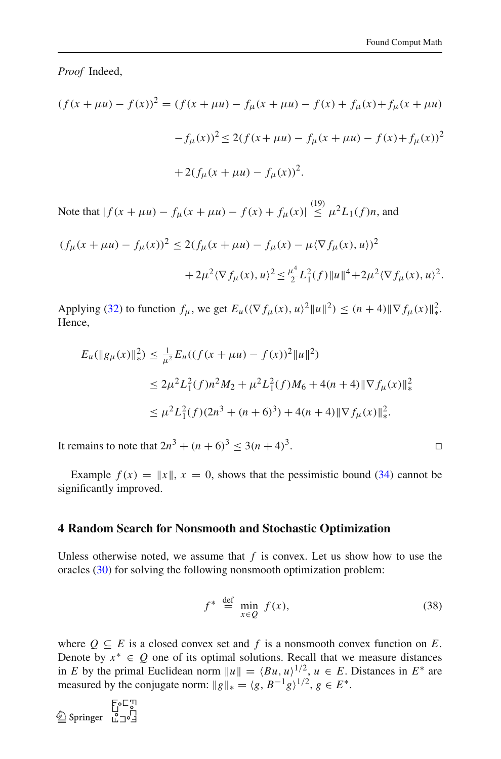*Proof* Indeed,

$$
(f(x + \mu u) - f(x))^{2} = (f(x + \mu u) - f_{\mu}(x + \mu u) - f(x) + f_{\mu}(x) + f_{\mu}(x + \mu u))
$$

$$
-f_{\mu}(x))^{2} \le 2(f(x + \mu u) - f_{\mu}(x + \mu u) - f(x) + f_{\mu}(x))^{2}
$$

$$
+ 2(f_{\mu}(x + \mu u) - f_{\mu}(x))^{2}.
$$

Note that  $|f(x + \mu u) - f_{\mu}(x + \mu u) - f(x) + f_{\mu}(x)| \leq \mu^2 L_1(f)n$ , and

$$
(f_{\mu}(x + \mu u) - f_{\mu}(x))^2 \le 2(f_{\mu}(x + \mu u) - f_{\mu}(x) - \mu \langle \nabla f_{\mu}(x), u \rangle)^2
$$
  
+  $2\mu^2 \langle \nabla f_{\mu}(x), u \rangle^2 \le \frac{\mu^4}{2} L_1^2(f) \|u\|^4 + 2\mu^2 \langle \nabla f_{\mu}(x), u \rangle^2$ .

Applying [\(32\)](#page-10-0) to function  $f_{\mu}$ , we get  $E_u(\langle \nabla f_{\mu}(x), u \rangle^2 ||u||^2) \le (n+4) ||\nabla f_{\mu}(x)||_*^2$ ∗ . Hence,

$$
E_u(\|g_\mu(x)\|_\ast^2) \le \frac{1}{\mu^2} E_u((f(x + \mu u) - f(x))^2 \|u\|^2)
$$
  
\n
$$
\le 2\mu^2 L_1^2(f)n^2 M_2 + \mu^2 L_1^2(f)M_6 + 4(n+4) \|\nabla f_\mu(x)\|_\ast^2
$$
  
\n
$$
\le \mu^2 L_1^2(f)(2n^3 + (n+6)^3) + 4(n+4) \|\nabla f_\mu(x)\|_\ast^2.
$$

It remains to note that  $2n^3 + (n+6)^3 \le 3(n+4)^3$ . ⊓⊔

Example  $f(x) = ||x||$ ,  $x = 0$ , shows that the pessimistic bound [\(34\)](#page-11-0) cannot be significantly improved.

#### <span id="page-13-0"></span>**4 Random Search for Nonsmooth and Stochastic Optimization**

Unless otherwise noted, we assume that  $f$  is convex. Let us show how to use the oracles [\(30\)](#page-9-2) for solving the following nonsmooth optimization problem:

$$
f^* \stackrel{\text{def}}{=} \min_{x \in Q} f(x), \tag{38}
$$

<span id="page-13-1"></span>where  $Q \subseteq E$  is a closed convex set and f is a nonsmooth convex function on E. Denote by  $x^* \in Q$  one of its optimal solutions. Recall that we measure distances in *E* by the primal Euclidean norm  $||u|| = \langle Bu, u \rangle^{1/2}, u \in E$ . Distances in  $E^*$  are measured by the conjugate norm:  $||g||_* = \langle g, B^{-1}g \rangle^{1/2}, g \in E^*$ .

 $\begin{array}{ccc}\n\textcircled{\tiny\uparrow} & \textcircled{\tiny\downarrow} & \textcircled{\tiny\downarrow} \\
\textcircled{\tiny\downarrow} & \textcircled{\tiny\downarrow} & \textcircled{\tiny\downarrow} & \textcircled{\tiny\downarrow} \\
\textcircled{\tiny\downarrow} & \textcircled{\tiny\downarrow} & \textcircled{\tiny\downarrow} & \textcircled{\tiny\downarrow} \\
\textcircled{\tiny\downarrow} & \textcircled{\tiny\downarrow} & \textcircled{\tiny\downarrow} & \textcircled{\tiny\downarrow} \\
\textcircled{\tiny\downarrow} & \textcircled{\tiny\downarrow} & \textcircled{\tiny\downarrow} & \textcircled{\tiny\downarrow} & \textcirc$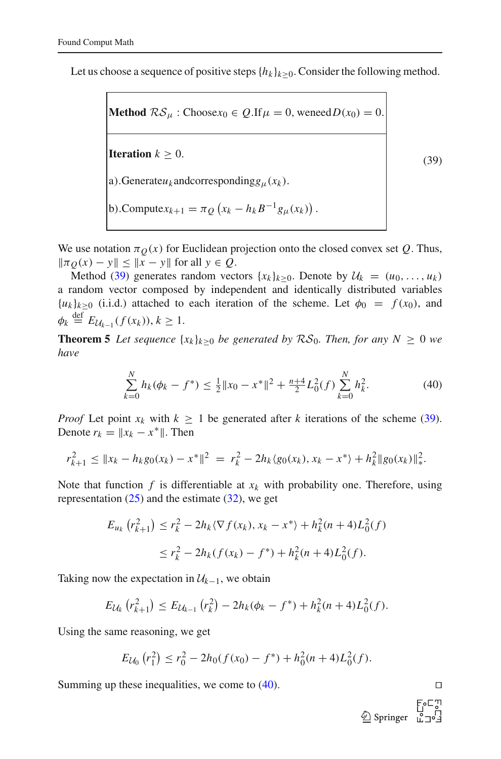Let us choose a sequence of positive steps  ${h_k}_{k>0}$ . Consider the following method.

<span id="page-14-0"></span>**Method**  $\mathcal{RS}_{\mu}$ : Choose $x_0 \in Q$ .If  $\mu = 0$ , weneed  $D(x_0) = 0$ . **Iteration**  $k > 0$ . a). Generate $u_k$  and corresponding  $g_{\mu}(x_k)$ . b). Compute $x_{k+1} = \pi_Q (x_k - h_k B^{-1} g_\mu(x_k))$ .

We use notation  $\pi_Q(x)$  for Euclidean projection onto the closed convex set *Q*. Thus,  $\|\pi_O(x) - y\| \leq \|x - y\|$  for all *y* ∈ *Q*.

Method [\(39\)](#page-14-0) generates random vectors  $\{x_k\}_{k>0}$ . Denote by  $\mathcal{U}_k = (u_0, \ldots, u_k)$ a random vector composed by independent and identically distributed variables  ${u_k}_{k>0}$  (i.i.d.) attached to each iteration of the scheme. Let  $\phi_0 = f(x_0)$ , and  $\phi_k \stackrel{\text{def}}{=} E_{\mathcal{U}_{k-1}}(f(x_k)), k \geq 1.$ 

<span id="page-14-2"></span>**Theorem 5** Let sequence  $\{x_k\}_{k>0}$  be generated by  $RS_0$ . Then, for any  $N > 0$  we *have*

$$
\sum_{k=0}^{N} h_k(\phi_k - f^*) \le \frac{1}{2} \|x_0 - x^*\|^2 + \frac{n+4}{2} L_0^2(f) \sum_{k=0}^{N} h_k^2.
$$
 (40)

<span id="page-14-1"></span>*Proof* Let point  $x_k$  with  $k \geq 1$  be generated after *k* iterations of the scheme [\(39\)](#page-14-0). Denote  $r_k = ||x_k - x^*||$ . Then

$$
r_{k+1}^2 \leq \|x_k - h_k g_0(x_k) - x^*\|^2 = r_k^2 - 2h_k \langle g_0(x_k), x_k - x^* \rangle + h_k^2 \|g_0(x_k)\|_{\ast}^2.
$$

Note that function  $f$  is differentiable at  $x_k$  with probability one. Therefore, using representation  $(25)$  and the estimate  $(32)$ , we get

$$
E_{u_k} (r_{k+1}^2) \le r_k^2 - 2h_k \langle \nabla f(x_k), x_k - x^* \rangle + h_k^2 (n+4) L_0^2(f)
$$
  

$$
\le r_k^2 - 2h_k (f(x_k) - f^*) + h_k^2 (n+4) L_0^2(f).
$$

Taking now the expectation in  $\mathcal{U}_{k-1}$ , we obtain

$$
E_{\mathcal{U}_k} (r_{k+1}^2) \leq E_{\mathcal{U}_{k-1}} (r_k^2) - 2h_k(\phi_k - f^*) + h_k^2(n+4)L_0^2(f).
$$

Using the same reasoning, we get

$$
E_{\mathcal{U}_0}(r_1^2) \le r_0^2 - 2h_0(f(x_0) - f^*) + h_0^2(n+4)L_0^2(f).
$$

Summing up these inequalities, we come to  $(40)$ . □

(39)

 $\bigcirc$  Springer  $\left[\begin{smallmatrix} 2 & 3 \\ 1 & -1 \end{smallmatrix}\right]$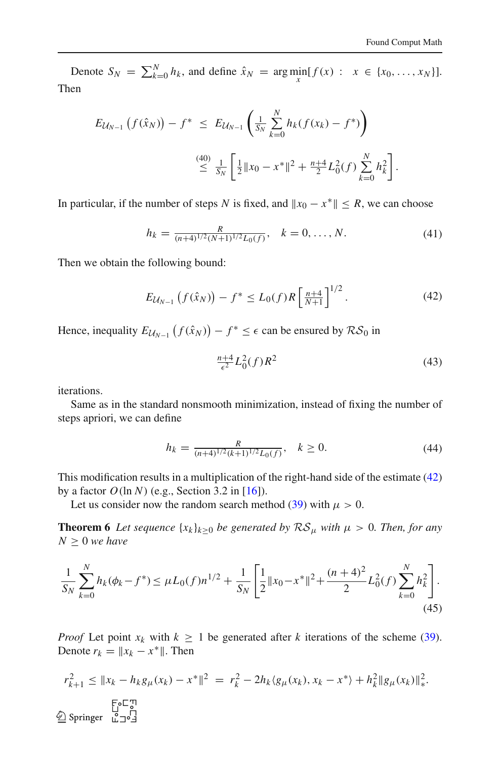Denote  $S_N = \sum_{k=0}^N h_k$ , and define  $\hat{x}_N = \arg \min_{x} [f(x) : x \in \{x_0, ..., x_N\}]$ . Then

$$
E_{\mathcal{U}_{N-1}}\left(f(\hat{x}_N)\right) - f^* \leq E_{\mathcal{U}_{N-1}}\left(\frac{1}{S_N}\sum_{k=0}^N h_k(f(x_k) - f^*)\right)
$$
  

$$
\leq \frac{(40)}{S_N}\left[\frac{1}{2}\|x_0 - x^*\|^2 + \frac{n+4}{2}L_0^2(f)\sum_{k=0}^N h_k^2\right].
$$

In particular, if the number of steps *N* is fixed, and  $||x_0 - x^*|| \le R$ , we can choose

$$
h_k = \frac{R}{(n+4)^{1/2}(N+1)^{1/2}L_0(f)}, \quad k = 0, \dots, N.
$$
 (41)

<span id="page-15-0"></span>Then we obtain the following bound:

<span id="page-15-1"></span>
$$
E_{\mathcal{U}_{N-1}}\left(f(\hat{x}_N)\right) - f^* \le L_0(f)R\left[\frac{n+4}{N+1}\right]^{1/2}.\tag{42}
$$

Hence, inequality  $E_{\mathcal{U}_{N-1}}(f(\hat{x}_N)) - f^* \leq \epsilon$  can be ensured by  $\mathcal{RS}_0$  in

$$
\frac{n+4}{\epsilon^2} L_0^2(f) R^2
$$
\n(43)

iterations.

Same as in the standard nonsmooth minimization, instead of fixing the number of steps apriori, we can define

<span id="page-15-2"></span>
$$
h_k = \frac{R}{(n+4)^{1/2}(k+1)^{1/2}L_0(f)}, \quad k \ge 0.
$$
 (44)

This modification results in a multiplication of the right-hand side of the estimate [\(42\)](#page-15-0) by a factor *O*(ln *N*) (e.g., Section 3.2 in [\[16\]](#page-39-6)).

Let us consider now the random search method [\(39\)](#page-14-0) with  $\mu > 0$ .

**Theorem 6** *Let sequence*  $\{x_k\}_{k>0}$  *be generated by*  $\mathcal{RS}_{\mu}$  *with*  $\mu > 0$ *. Then, for any*  $N \geq 0$  *we have* 

$$
\frac{1}{S_N} \sum_{k=0}^{N} h_k(\phi_k - f^*) \le \mu L_0(f) n^{1/2} + \frac{1}{S_N} \left[ \frac{1}{2} \|x_0 - x^*\|^2 + \frac{(n+4)^2}{2} L_0^2(f) \sum_{k=0}^{N} h_k^2 \right].
$$
\n(45)

*Proof* Let point  $x_k$  with  $k \geq 1$  be generated after *k* iterations of the scheme [\(39\)](#page-14-0). Denote  $r_k = ||x_k - x^*||$ . Then

$$
r_{k+1}^2 \le \|x_k - h_k g_{\mu}(x_k) - x^*\|^2 = r_k^2 - 2h_k \langle g_{\mu}(x_k), x_k - x^* \rangle + h_k^2 \|g_{\mu}(x_k)\|_{*}^2.
$$
  
 
$$
\sum_{k=0}^{\lfloor 5 \rfloor} \sum_{j=0}^{\lfloor 5 \rfloor} \langle g_{\mu}(x_k), x_k - x^* \rangle + h_k^2 \|g_{\mu}(x_k)\|_{*}^2.
$$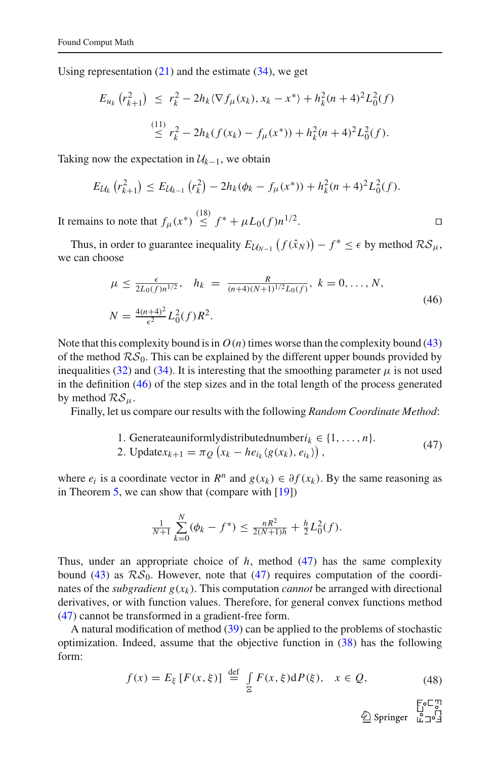Using representation  $(21)$  and the estimate  $(34)$ , we get

$$
E_{u_k} (r_{k+1}^2) \le r_k^2 - 2h_k \langle \nabla f_\mu(x_k), x_k - x^* \rangle + h_k^2 (n+4)^2 L_0^2(f)
$$
  

$$
\le r_k^2 - 2h_k (f(x_k) - f_\mu(x^*)) + h_k^2 (n+4)^2 L_0^2(f).
$$

Taking now the expectation in  $\mathcal{U}_{k-1}$ , we obtain

$$
E_{\mathcal{U}_k} (r_{k+1}^2) \leq E_{\mathcal{U}_{k-1}} (r_k^2) - 2h_k(\phi_k - f_\mu(x^*)) + h_k^2(n+4)^2 L_0^2(f).
$$

It remains to note that  $f_{\mu}(x^*) \stackrel{(18)}{\leq} f^* + \mu L_0(f) n^{1/2}$ . ⊓⊔

Thus, in order to guarantee inequality  $E_{\mathcal{U}_{N-1}}(f(\hat{x}_N)) - f^* \leq \epsilon$  by method  $\mathcal{RS}_{\mu}$ , we can choose

$$
\mu \le \frac{\epsilon}{2L_0(f)n^{1/2}}, \quad h_k = \frac{R}{(n+4)(N+1)^{1/2}L_0(f)}, \ k = 0, \dots, N,
$$
  
\n
$$
N = \frac{4(n+4)^2}{\epsilon^2}L_0^2(f)R^2.
$$
\n(46)

<span id="page-16-0"></span>Note that this complexity bound is in  $O(n)$  times worse than the complexity bound [\(43\)](#page-15-1) of the method  $RS_0$ . This can be explained by the different upper bounds provided by inequalities [\(32\)](#page-10-0) and [\(34\)](#page-11-0). It is interesting that the smoothing parameter  $\mu$  is not used in the definition [\(46\)](#page-16-0) of the step sizes and in the total length of the process generated by method  $RS_{\mu}$ .

Finally, let us compare our results with the following *Random Coordinate Method*:

1. Generateauniformly distributed number 
$$
i_k \in \{1, ..., n\}
$$
.  
2. Update $x_{k+1} = \pi_Q (x_k - he_{i_k} (g(x_k), e_{i_k}))$ , (47)

<span id="page-16-1"></span>where  $e_i$  is a coordinate vector in  $R^n$  and  $g(x_k) \in \partial f(x_k)$ . By the same reasoning as in Theorem [5,](#page-14-2) we can show that (compare with  $[19]$ )

$$
\frac{1}{N+1}\sum_{k=0}^{N}(\phi_k - f^*) \leq \frac{nR^2}{2(N+1)h} + \frac{h}{2}L_0^2(f).
$$

Thus, under an appropriate choice of *h*, method [\(47\)](#page-16-1) has the same complexity bound [\(43\)](#page-15-1) as  $RS_0$ . However, note that [\(47\)](#page-16-1) requires computation of the coordinates of the *subgradient*  $g(x_k)$ . This computation *cannot* be arranged with directional derivatives, or with function values. Therefore, for general convex functions method [\(47\)](#page-16-1) cannot be transformed in a gradient-free form.

<span id="page-16-2"></span>A natural modification of method  $(39)$  can be applied to the problems of stochastic optimization. Indeed, assume that the objective function in [\(38\)](#page-13-1) has the following form:

$$
f(x) = E_{\xi} [F(x, \xi)] \stackrel{\text{def}}{=} \int_{\Xi} F(x, \xi) dP(\xi), \quad x \in \mathcal{Q}, \tag{48}
$$

 $\begin{picture}(120,115) \put(0,0){\line(1,0){155}} \put(15,0){\line(1,0){155}} \put(15,0){\line(1,0){155}} \put(15,0){\line(1,0){155}} \put(15,0){\line(1,0){155}} \put(15,0){\line(1,0){155}} \put(15,0){\line(1,0){155}} \put(15,0){\line(1,0){155}} \put(15,0){\line(1,0){155}} \put(15,0){\line(1,0){155}} \put(15,0){\line(1,0){155$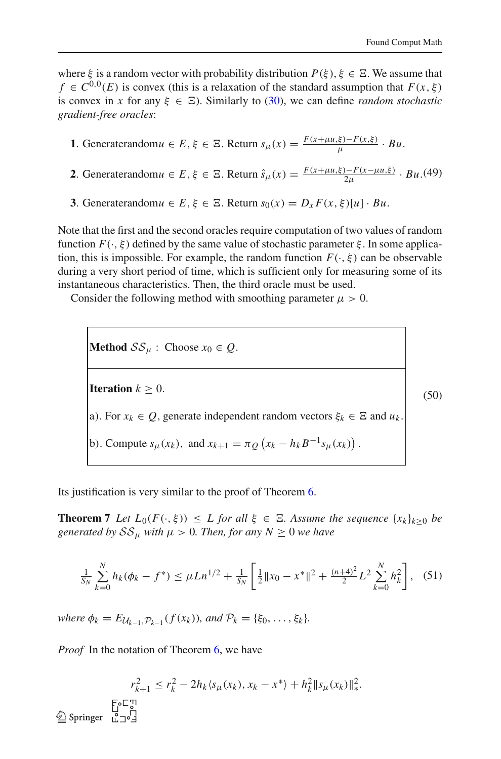where  $\xi$  is a random vector with probability distribution  $P(\xi), \xi \in \Xi$ . We assume that  $f \in C^{0,0}(E)$  is convex (this is a relaxation of the standard assumption that  $F(x,\xi)$ is convex in *x* for any  $\xi \in \Xi$ ). Similarly to [\(30\)](#page-9-2), we can define *random stochastic gradient-free oracles*:

**1**. Generaterandom $u \in E$ ,  $\xi \in \Xi$ . Return  $s_{\mu}(x) = \frac{F(x + \mu u, \xi) - F(x, \xi)}{\mu} \cdot Bu$ .

**2**. Generaterandom $u \in E$ ,  $\xi \in \Xi$ . Return  $\hat{s}_{\mu}(x) = \frac{F(x + \mu u, \xi) - F(x - \mu u, \xi)}{2\mu} \cdot Bu$ . (49)

**3**. Generaterandom $u \in E$ ,  $\xi \in \Xi$ . Return  $s_0(x) = D_x F(x, \xi)[u] \cdot Bu$ .

Note that the first and the second oracles require computation of two values of random function  $F(\cdot,\xi)$  defined by the same value of stochastic parameter  $\xi$ . In some application, this is impossible. For example, the random function  $F(\cdot, \xi)$  can be observable during a very short period of time, which is sufficient only for measuring some of its instantaneous characteristics. Then, the third oracle must be used.

Consider the following method with smoothing parameter  $\mu > 0$ .

<span id="page-17-0"></span>**Method**  $\mathcal{SS}_{\mu}$  : Choose  $x_0 \in Q$ . **Iteration**  $k > 0$ . a). For  $x_k \in Q$ , generate independent random vectors  $\xi_k \in \Xi$  and  $u_k$ . b). Compute  $s_{\mu}(x_k)$ , and  $x_{k+1} = \pi_Q(x_k - h_k B^{-1} s_{\mu}(x_k))$ . (50)

Its justification is very similar to the proof of Theorem [6.](#page-15-2)

**Theorem 7** *Let*  $L_0(F(\cdot, \xi)) \leq L$  *for all*  $\xi \in \Xi$ *. Assume the sequence*  $\{x_k\}_{k \geq 0}$  *be generated by*  $SS_{\mu}$  *with*  $\mu > 0$ *. Then, for any*  $N \geq 0$  *we have* 

$$
\frac{1}{S_N}\sum_{k=0}^N h_k(\phi_k - f^*) \le \mu L n^{1/2} + \frac{1}{S_N} \left[ \frac{1}{2} \|x_0 - x^*\|^2 + \frac{(n+4)^2}{2} L^2 \sum_{k=0}^N h_k^2 \right], \quad (51)
$$

*where*  $\phi_k = E_{\mathcal{U}_{k-1}, \mathcal{P}_{k-1}}(f(x_k))$ *, and*  $\mathcal{P}_k = {\xi_0, \ldots, \xi_k}$ *.* 

*Proof* In the notation of Theorem [6,](#page-15-2) we have

$$
r_{k+1}^2 \le r_k^2 - 2h_k \langle s_\mu(x_k), x_k - x^* \rangle + h_k^2 \| s_\mu(x_k) \|_*^2.
$$
  
 
$$
\sum_{k=0}^{\lfloor 5 \rfloor} \sum_{j=0}^{\lfloor 7 \rfloor} |s_j|
$$
 Springer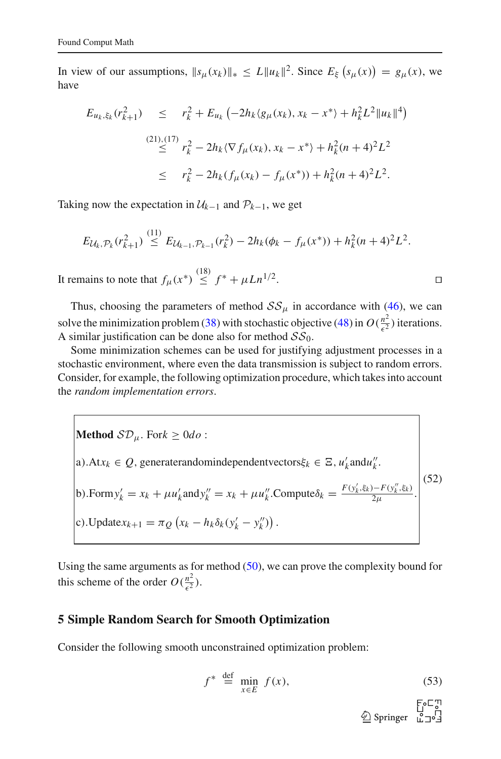In view of our assumptions,  $||s_{\mu}(x_k)||_* \le L ||u_k||^2$ . Since  $E_{\xi}(s_{\mu}(x)) = g_{\mu}(x)$ , we have

$$
E_{u_k, \xi_k}(r_{k+1}^2) \leq r_k^2 + E_{u_k} \left( -2h_k \langle g_\mu(x_k), x_k - x^* \rangle + h_k^2 L^2 \|u_k\|^4 \right)
$$
  

$$
\stackrel{(21),(17)}{\leq} r_k^2 - 2h_k \langle \nabla f_\mu(x_k), x_k - x^* \rangle + h_k^2 (n+4)^2 L^2
$$
  

$$
\leq r_k^2 - 2h_k (f_\mu(x_k) - f_\mu(x^*)) + h_k^2 (n+4)^2 L^2.
$$

Taking now the expectation in  $U_{k-1}$  and  $\mathcal{P}_{k-1}$ , we get

$$
E_{\mathcal{U}_k, \mathcal{P}_k}(r_{k+1}^2) \stackrel{(11)}{\leq} E_{\mathcal{U}_{k-1}, \mathcal{P}_{k-1}}(r_k^2) - 2h_k(\phi_k - f_\mu(x^*)) + h_k^2(n+4)^2L^2.
$$

It remains to note that  $f_\mu(x^*) \stackrel{(18)}{\leq} f^* + \mu L n^{1/2}$ . ⊓⊔

Thus, choosing the parameters of method  $SS_{\mu}$  in accordance with [\(46\)](#page-16-0), we can solve the minimization problem [\(38\)](#page-13-1) with stochastic objective [\(48\)](#page-16-2) in  $O(\frac{n^2}{c^2})$  $\frac{n^2}{\epsilon^2}$ ) iterations. A similar justification can be done also for method  $SS_0$ .

Some minimization schemes can be used for justifying adjustment processes in a stochastic environment, where even the data transmission is subject to random errors. Consider, for example, the following optimization procedure, which takes into account the *random implementation errors*.

**Method** 
$$
\mathcal{SD}_{\mu}
$$
. For  $k \ge 0 do$ :  
\na). $\text{At } x_k \in Q$ , generatorandomindependent vectors  $\xi_k \in \Xi$ ,  $u'_k$  and  $u''_k$ .  
\nb). $\text{Form } y'_k = x_k + \mu u'_k$  and  $y''_k = x_k + \mu u''_k$ . $\text{Compute } \delta_k = \frac{F(y'_k, \xi_k) - F(y''_k, \xi_k)}{2\mu}$ .  
\nc). $\text{Update } x_{k+1} = \pi_Q (x_k - h_k \delta_k (y'_k - y''_k))$ .

Using the same arguments as for method  $(50)$ , we can prove the complexity bound for this scheme of the order  $O(\frac{n^2}{c^2})$  $\frac{n^2}{\epsilon^2}$ ).

#### <span id="page-18-0"></span>**5 Simple Random Search for Smooth Optimization**

<span id="page-18-1"></span>Consider the following smooth unconstrained optimization problem:

$$
f^* \stackrel{\text{def}}{=} \min_{x \in E} f(x), \tag{53}
$$

 $\begin{array}{c} \text{Set} \\ \text{Springer} \\ \text{L} \end{array}$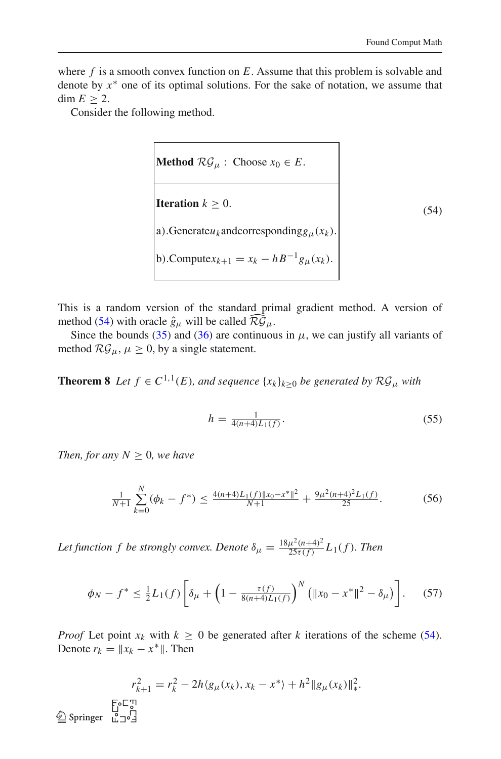where *f* is a smooth convex function on *E*. Assume that this problem is solvable and denote by *x* ∗ one of its optimal solutions. For the sake of notation, we assume that dim  $E \geq 2$ .

<span id="page-19-0"></span>Consider the following method.

Method 
$$
\mathcal{RG}_{\mu}
$$
: Choose  $x_0 \in E$ .  
\n  
\nIteration  $k \ge 0$ .  
\na). Generate $u_k$  and corresponding $g_{\mu}(x_k)$ .  
\nb).Compute $x_{k+1} = x_k - hB^{-1}g_{\mu}(x_k)$ .

This is a random version of the standard primal gradient method. A version of method [\(54\)](#page-19-0) with oracle  $\hat{g}_{\mu}$  will be called  $\widehat{\mathcal{RG}}_{\mu}$ .

Since the bounds [\(35\)](#page-11-1) and [\(36\)](#page-11-2) are continuous in  $\mu$ , we can justify all variants of method  $\mathcal{RG}_{\mu}, \mu \geq 0$ , by a single statement.

**Theorem 8** *Let*  $f \in C^{1,1}(E)$ *, and sequence*  $\{x_k\}_{k \geq 0}$  *be generated by*  $\mathcal{RG}_{\mu}$  *with* 

$$
h = \frac{1}{4(n+4)L_1(f)}.\tag{55}
$$

*Then, for any*  $N \geq 0$ *, we have* 

$$
\frac{1}{N+1} \sum_{k=0}^{N} (\phi_k - f^*) \le \frac{4(n+4)L_1(f) \|x_0 - x^*\|^2}{N+1} + \frac{9\mu^2(n+4)^2 L_1(f)}{25}.
$$
 (56)

<span id="page-19-1"></span>Let function f be strongly convex. Denote  $\delta_{\mu} = \frac{18\mu^2(n+4)^2}{25\tau(f)}$  $\frac{\mu^2(n+4)^2}{25\tau(f)} L_1(f)$ . Then

$$
\phi_N - f^* \le \frac{1}{2} L_1(f) \left[ \delta_\mu + \left( 1 - \frac{\tau(f)}{8(n+4)L_1(f)} \right)^N \left( \| x_0 - x^* \|^2 - \delta_\mu \right) \right]. \tag{57}
$$

*Proof* Let point  $x_k$  with  $k \geq 0$  be generated after *k* iterations of the scheme [\(54\)](#page-19-0). Denote  $r_k = ||x_k - x^*||$ . Then

$$
r_{k+1}^2 = r_k^2 - 2h \langle g_\mu(x_k), x_k - x^* \rangle + h^2 \| g_\mu(x_k) \|_*^2.
$$
  
 
$$
\sum_{k=0}^{k-1} \sum_{j=0}^{m} \langle g_\mu(x_k), x_k - x^* \rangle + h^2 \| g_\mu(x_k) \|_*^2.
$$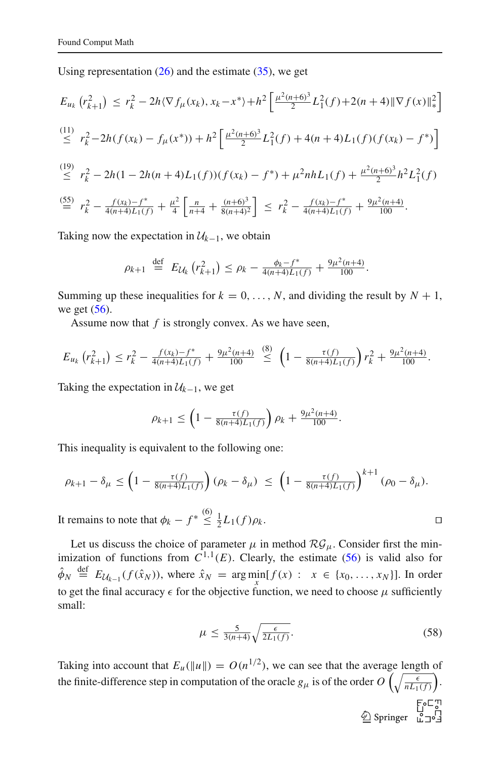Using representation  $(26)$  and the estimate  $(35)$ , we get

$$
E_{u_k} (r_{k+1}^2) \le r_k^2 - 2h \langle \nabla f_\mu(x_k), x_k - x^* \rangle + h^2 \left[ \frac{\mu^2 (n+6)^3}{2} L_1^2(f) + 2(n+4) \|\nabla f(x)\|_{*}^2 \right]
$$
  
\n
$$
\le r_k^2 - 2h(f(x_k) - f_\mu(x^*)) + h^2 \left[ \frac{\mu^2 (n+6)^3}{2} L_1^2(f) + 4(n+4) L_1(f)(f(x_k) - f^*) \right]
$$
  
\n
$$
\le r_k^2 - 2h(1 - 2h(n+4) L_1(f))(f(x_k) - f^*) + \mu^2 nh L_1(f) + \frac{\mu^2 (n+6)^3}{2} h^2 L_1^2(f)
$$
  
\n
$$
\stackrel{(55)}{=} r_k^2 - \frac{f(x_k) - f^*}{4(n+4) L_1(f)} + \frac{\mu^2}{4} \left[ \frac{n}{n+4} + \frac{(n+6)^3}{8(n+4)^2} \right] \le r_k^2 - \frac{f(x_k) - f^*}{4(n+4) L_1(f)} + \frac{9\mu^2 (n+4)}{100}.
$$

Taking now the expectation in  $\mathcal{U}_{k-1}$ , we obtain

$$
\rho_{k+1} \stackrel{\text{def}}{=} E_{\mathcal{U}_k} (r_{k+1}^2) \le \rho_k - \frac{\phi_k - f^*}{4(n+4)L_1(f)} + \frac{9\mu^2(n+4)}{100}.
$$

Summing up these inequalities for  $k = 0, \ldots, N$ , and dividing the result by  $N + 1$ , we get  $(56)$ .

Assume now that *f* is strongly convex. As we have seen,

$$
E_{u_k}\left(r_{k+1}^2\right) \le r_k^2 - \frac{f(x_k) - f^*}{4(n+4)L_1(f)} + \frac{9\mu^2(n+4)}{100} \stackrel{(8)}{\le} \left(1 - \frac{\tau(f)}{8(n+4)L_1(f)}\right) r_k^2 + \frac{9\mu^2(n+4)}{100}.
$$

Taking the expectation in  $U_{k-1}$ , we get

$$
\rho_{k+1} \le \left(1 - \frac{\tau(f)}{8(n+4)L_1(f)}\right)\rho_k + \frac{9\mu^2(n+4)}{100}.
$$

This inequality is equivalent to the following one:

$$
\rho_{k+1} - \delta_{\mu} \le \left(1 - \frac{\tau(f)}{8(n+4)L_1(f)}\right)(\rho_k - \delta_{\mu}) \le \left(1 - \frac{\tau(f)}{8(n+4)L_1(f)}\right)^{k+1}(\rho_0 - \delta_{\mu}).
$$

It remains to note that  $\phi_k - f^* \leq$  $\leq \frac{1}{2}L_1(f)\rho_k.$ 

Let us discuss the choice of parameter  $\mu$  in method  $\mathcal{RG}_{\mu}$ . Consider first the minimization of functions from  $C^{1,1}(E)$ . Clearly, the estimate [\(56\)](#page-19-1) is valid also for  $\hat{\phi}_N \stackrel{\text{def}}{=} E_{\mathcal{U}_{k-1}}(f(\hat{x}_N))$ , where  $\hat{x}_N = \arg \min_{x} [f(x) : x \in \{x_0, \ldots, x_N\}].$  In order to get the final accuracy  $\epsilon$  for the objective function, we need to choose  $\mu$  sufficiently small:

$$
\mu \le \frac{5}{3(n+4)} \sqrt{\frac{\epsilon}{2L_1(f)}}.
$$
\n(58)

<span id="page-20-0"></span>Taking into account that  $E_u(\|u\|) = O(n^{1/2})$ , we can see that the average length of the finite-difference step in computation of the oracle  $g_\mu$  is of the order  $O\left(\sqrt{\frac{\epsilon}{nL}}\right)$  $nL_1(f)$ .

 $\begin{picture}(120,115) \put(0,0){\line(1,0){155}} \put(15,0){\line(1,0){155}} \put(15,0){\line(1,0){155}} \put(15,0){\line(1,0){155}} \put(15,0){\line(1,0){155}} \put(15,0){\line(1,0){155}} \put(15,0){\line(1,0){155}} \put(15,0){\line(1,0){155}} \put(15,0){\line(1,0){155}} \put(15,0){\line(1,0){155}} \put(15,0){\line(1,0){155$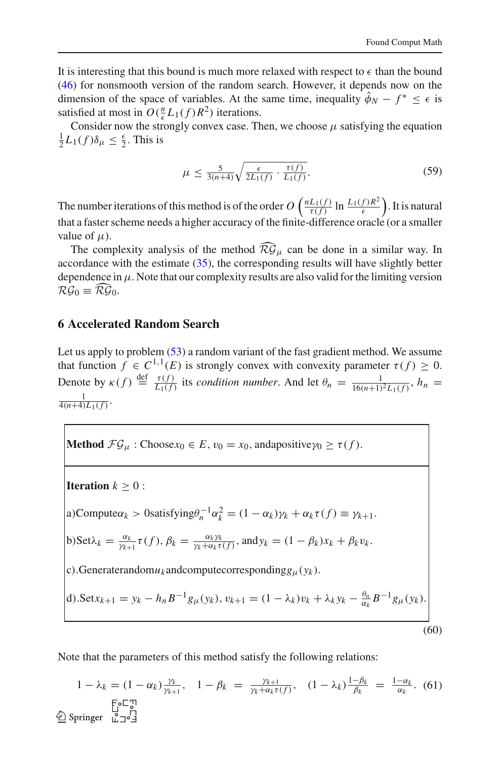It is interesting that this bound is much more relaxed with respect to  $\epsilon$  than the bound [\(46\)](#page-16-0) for nonsmooth version of the random search. However, it depends now on the dimension of the space of variables. At the same time, inequality  $\phi_N - f^* \leq \epsilon$  is satisfied at most in  $O(\frac{n}{\epsilon}L_1(f)R^2)$  iterations.

Consider now the strongly convex case. Then, we choose  $\mu$  satisfying the equation Consider now the strongly convex case. Then, we choose  $\mu$  satisfying the equation  $\frac{1}{2}L_1(f)\delta_\mu \leq \frac{\epsilon}{2}$ . This is

$$
\mu \le \frac{5}{3(n+4)} \sqrt{\frac{\epsilon}{2L_1(f)} \cdot \frac{\tau(f)}{L_1(f)}}.
$$
\n(59)

The number iterations of this method is of the order  $O\left(\frac{nL_1(f)}{\tau(f)}\ln\frac{L_1(f)R^2}{\epsilon}\right)$  $\epsilon$  . It is natural that a faster scheme needs a higher accuracy of the finite-difference oracle (or a smaller value of  $\mu$ ).

The complexity analysis of the method  $\widehat{\mathcal{RG}}_{\mu}$  can be done in a similar way. In accordance with the estimate  $(35)$ , the corresponding results will have slightly better dependence in  $\mu$ . Note that our complexity results are also valid for the limiting version  $\mathcal{RG}_0 \equiv \widehat{\mathcal{RG}}_{0}.$ 

#### <span id="page-21-0"></span>**6 Accelerated Random Search**

Let us apply to problem  $(53)$  a random variant of the fast gradient method. We assume that function  $f \in C^{1,1}(E)$  is strongly convex with convexity parameter  $\tau(f) \geq 0$ . Denote by  $\kappa(f) \stackrel{\text{def}}{=} \frac{\tau(f)}{L_1(f)}$  $\frac{\tau(f)}{L_1(f)}$  its *condition number*. And let  $\theta_n = \frac{1}{16(n+1)}$  $\frac{1}{16(n+1)^2L_1(f)}, h_n =$  $\frac{1}{4(n+4)L_1(f)}$ .

**Method**  $\mathcal{FG}_{\mu}$ : Choose $x_0 \in E$ ,  $v_0 = x_0$ , andapositive $\gamma_0 \ge \tau(f)$ .

<span id="page-21-1"></span>**Iteration**  $k \geq 0$  : a)Compute $\alpha_k > 0$ satisfying $\theta_n^{-1} \alpha_k^2 = (1 - \alpha_k)\gamma_k + \alpha_k \tau(f) \equiv \gamma_{k+1}$ . b)Set $\lambda_k = \frac{\alpha_k}{\gamma_{k+1}}$  $\frac{\alpha_k}{\gamma_{k+1}}\tau(f), \beta_k = \frac{\alpha_k\gamma_k}{\gamma_k + \alpha_k\tau}$  $\frac{\alpha_k y_k}{\gamma_k + \alpha_k \tau(f)}$ , and  $y_k = (1 - \beta_k)x_k + \beta_k v_k$ . c).Generaterandom $u_k$  and compute corresponding  $g_\mu(y_k)$ . d).Set $x_{k+1} = y_k - h_n B^{-1} g_\mu(y_k)$ ,  $v_{k+1} = (1 - \lambda_k) v_k + \lambda_k y_k - \frac{\theta_n}{\alpha_k} B^{-1} g_\mu(y_k)$ . (60)

Note that the parameters of this method satisfy the following relations:

$$
1 - \lambda_k = (1 - \alpha_k) \frac{\gamma_k}{\gamma_{k+1}}, \quad 1 - \beta_k = \frac{\gamma_{k+1}}{\gamma_k + \alpha_k \tau(f)}, \quad (1 - \lambda_k) \frac{1 - \beta_k}{\beta_k} = \frac{1 - \alpha_k}{\alpha_k}.
$$
 (61)  
 
$$
\sum_{k=0}^{\infty} \text{Springer } \stackrel{\text{[1]}{\sim} \text{[1]}{\sim} \text{[1]}}{2}
$$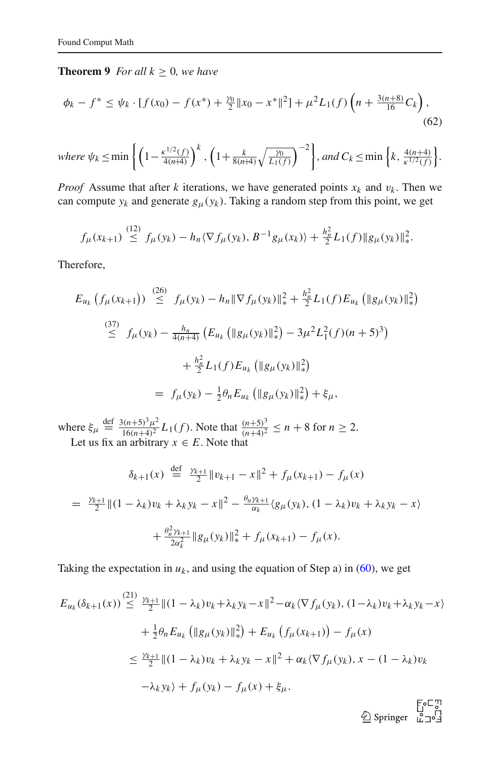#### **Theorem 9** *For all*  $k \geq 0$ *, we have*

<span id="page-22-0"></span>
$$
\phi_k - f^* \le \psi_k \cdot [f(x_0) - f(x^*) + \frac{\gamma_0}{2} \|x_0 - x^*\|^2] + \mu^2 L_1(f) \left(n + \frac{3(n+8)}{16} C_k\right),\tag{62}
$$

where 
$$
\psi_k \le \min \left\{ \left( 1 - \frac{\kappa^{1/2}(f)}{4(n+4)} \right)^k, \left( 1 + \frac{k}{8(n+4)} \sqrt{\frac{\gamma_0}{L_1(f)}} \right)^{-2} \right\}
$$
, and  $C_k \le \min \left\{ k, \frac{4(n+4)}{\kappa^{1/2}(f)} \right\}$ .

*Proof* Assume that after *k* iterations, we have generated points  $x_k$  and  $v_k$ . Then we can compute  $y_k$  and generate  $g_{\mu}(y_k)$ . Taking a random step from this point, we get

$$
f_{\mu}(x_{k+1}) \stackrel{(12)}{\leq} f_{\mu}(y_k) - h_n \langle \nabla f_{\mu}(y_k), B^{-1} g_{\mu}(x_k) \rangle + \frac{h_n^2}{2} L_1(f) \|g_{\mu}(y_k)\|_{*}^2.
$$

Therefore,

$$
E_{u_k} (f_{\mu}(x_{k+1})) \stackrel{(26)}{\leq} f_{\mu}(y_k) - h_n \|\nabla f_{\mu}(y_k)\|_{*}^2 + \frac{h_n^2}{2} L_1(f) E_{u_k} (\|g_{\mu}(y_k)\|_{*}^2)
$$
  

$$
\stackrel{(37)}{\leq} f_{\mu}(y_k) - \frac{h_n}{4(n+4)} (E_{u_k} (\|g_{\mu}(y_k)\|_{*}^2) - 3\mu^2 L_1^2(f)(n+5)^3)
$$
  

$$
+ \frac{h_n^2}{2} L_1(f) E_{u_k} (\|g_{\mu}(y_k)\|_{*}^2)
$$
  

$$
= f_{\mu}(y_k) - \frac{1}{2} \theta_n E_{u_k} (\|g_{\mu}(y_k)\|_{*}^2) + \xi_{\mu},
$$

where  $\xi_{\mu} \stackrel{\text{def}}{=} \frac{3(n+5)^3 \mu^2}{16(n+4)^2}$  $\frac{3(n+5)^3 \mu^2}{16(n+4)^2} L_1(f)$ . Note that  $\frac{(n+5)^3}{(n+4)^2}$  $\frac{(n+3)^2}{(n+4)^2} \leq n+8$  for  $n \geq 2$ .

Let us fix an arbitrary  $x \in E$ . Note that

$$
\delta_{k+1}(x) \stackrel{\text{def}}{=} \frac{\gamma_{k+1}}{2} \|v_{k+1} - x\|^2 + f_\mu(x_{k+1}) - f_\mu(x)
$$
  
= 
$$
\frac{\gamma_{k+1}}{2} \|(1 - \lambda_k)v_k + \lambda_k y_k - x\|^2 - \frac{\theta_n \gamma_{k+1}}{\alpha_k} \langle g_\mu(y_k), (1 - \lambda_k)v_k + \lambda_k y_k - x \rangle
$$
  
+ 
$$
\frac{\theta_n^2 \gamma_{k+1}}{2\alpha_k^2} \|g_\mu(y_k)\|^2_* + f_\mu(x_{k+1}) - f_\mu(x).
$$

Taking the expectation in  $u_k$ , and using the equation of Step a) in [\(60\)](#page-21-1), we get

$$
E_{u_k}(\delta_{k+1}(x)) \stackrel{(21)}{\leq} \frac{\gamma_{k+1}}{2} \|(1 - \lambda_k)v_k + \lambda_k y_k - x\|^2 - \alpha_k \langle \nabla f_\mu(y_k), (1 - \lambda_k)v_k + \lambda_k y_k - x \rangle
$$
  
+  $\frac{1}{2} \theta_n E_{u_k} (\|g_\mu(y_k)\|_*)^2 + E_{u_k} (f_\mu(x_{k+1})) - f_\mu(x)$   
 $\leq \frac{\gamma_{k+1}}{2} \|(1 - \lambda_k)v_k + \lambda_k y_k - x\|^2 + \alpha_k \langle \nabla f_\mu(y_k), x - (1 - \lambda_k)v_k$   
 $-\lambda_k y_k \rangle + f_\mu(y_k) - f_\mu(x) + \xi_\mu.$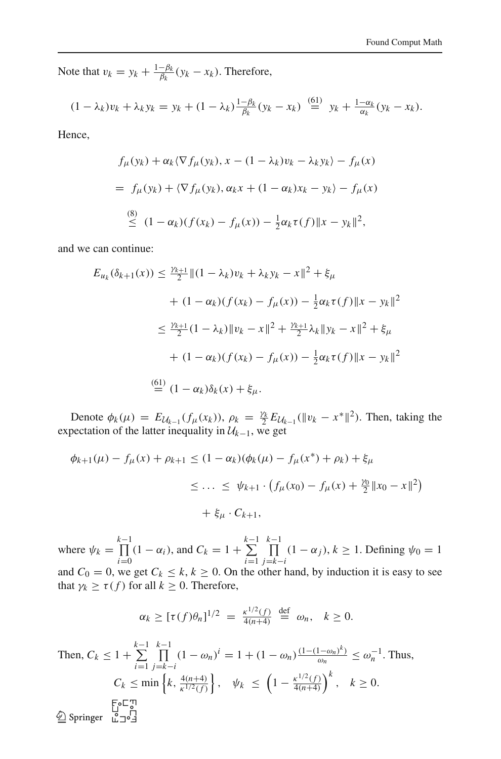Note that  $v_k = y_k + \frac{1-\beta_k}{\beta_k}(y_k - x_k)$ . Therefore,

$$
(1-\lambda_k)v_k+\lambda_ky_k=y_k+(1-\lambda_k)\frac{1-\beta_k}{\beta_k}(y_k-x_k)\stackrel{(61)}{=} y_k+\frac{1-\alpha_k}{\alpha_k}(y_k-x_k).
$$

Hence,

$$
f_{\mu}(y_k) + \alpha_k \langle \nabla f_{\mu}(y_k), x - (1 - \lambda_k) v_k - \lambda_k y_k \rangle - f_{\mu}(x)
$$
  
=  $f_{\mu}(y_k) + \langle \nabla f_{\mu}(y_k), \alpha_k x + (1 - \alpha_k) x_k - y_k \rangle - f_{\mu}(x)$   

$$
\stackrel{(8)}{\leq} (1 - \alpha_k)(f(x_k) - f_{\mu}(x)) - \frac{1}{2} \alpha_k \tau(f) \|x - y_k\|^2,
$$

and we can continue:

$$
E_{u_k}(\delta_{k+1}(x)) \le \frac{\gamma_{k+1}}{2} \|(1 - \lambda_k)v_k + \lambda_k y_k - x\|^2 + \xi_\mu
$$
  
+ 
$$
(1 - \alpha_k)(f(x_k) - f_\mu(x)) - \frac{1}{2}\alpha_k \tau(f) \|x - y_k\|^2
$$
  

$$
\le \frac{\gamma_{k+1}}{2} (1 - \lambda_k) \|v_k - x\|^2 + \frac{\gamma_{k+1}}{2} \lambda_k \|y_k - x\|^2 + \xi_\mu
$$
  
+ 
$$
(1 - \alpha_k)(f(x_k) - f_\mu(x)) - \frac{1}{2}\alpha_k \tau(f) \|x - y_k\|^2
$$
  

$$
\stackrel{(61)}{=} (1 - \alpha_k)\delta_k(x) + \xi_\mu.
$$

Denote  $\phi_k(\mu) = E_{\mathcal{U}_{k-1}}(f_{\mu}(x_k))$ ,  $\rho_k = \frac{\gamma_k}{2} E_{\mathcal{U}_{k-1}}(\|v_k - x^*\|^2)$ . Then, taking the expectation of the latter inequality in  $U_{k-1}$ , we get

$$
\phi_{k+1}(\mu) - f_{\mu}(x) + \rho_{k+1} \le (1 - \alpha_k)(\phi_k(\mu) - f_{\mu}(x^*) + \rho_k) + \xi_{\mu}
$$
  

$$
\le \dots \le \psi_{k+1} \cdot (f_{\mu}(x_0) - f_{\mu}(x) + \frac{\gamma_0}{2} \|x_0 - x\|^2)
$$
  

$$
+ \xi_{\mu} \cdot C_{k+1},
$$

where  $\psi_k = \prod_{k=0}^{k-1}$  $\prod_{i=0}^{k-1} (1 - \alpha_i)$ , and  $C_k = 1 + \sum_{i=1}^{k-1}$ *i*=1 <sup>*k*-1</sup><br>Π  $\prod_{j=k-i} (1 - \alpha_j)$ , *k* ≥ 1. Defining  $ψ_0 = 1$ and  $C_0 = 0$ , we get  $C_k \le k, k \ge 0$ . On the other hand, by induction it is easy to see that  $\gamma_k \ge \tau(f)$  for all  $k \ge 0$ . Therefore,

$$
\alpha_k \geq [\tau(f)\theta_n]^{1/2} = \frac{\kappa^{1/2}(f)}{4(n+4)} \stackrel{\text{def}}{=} \omega_n, \quad k \geq 0.
$$

Then, 
$$
C_k \le 1 + \sum_{i=1}^{k-1} \prod_{j=k-i}^{k-1} (1 - \omega_n)^i = 1 + (1 - \omega_n) \frac{(1 - (1 - \omega_n)^k)}{\omega_n} \le \omega_n^{-1}
$$
. Thus,  
\n $C_k \le \min \left\{ k, \frac{4(n+4)}{k^{1/2}(f)} \right\}, \quad \psi_k \le \left( 1 - \frac{k^{1/2}(f)}{4(n+4)} \right)^k, \quad k \ge 0.$   
\n $\sum_{i=1}^{k-1} \sum_{j=1}^{n} \sum_{j=1}^{n} k^{1/2} \frac{(1 - \omega_n)^k}{k^{1/2}(f)} = 1 + (1 - \omega_n) \frac{(1 - (1 - \omega_n)^k)}{\omega_n}$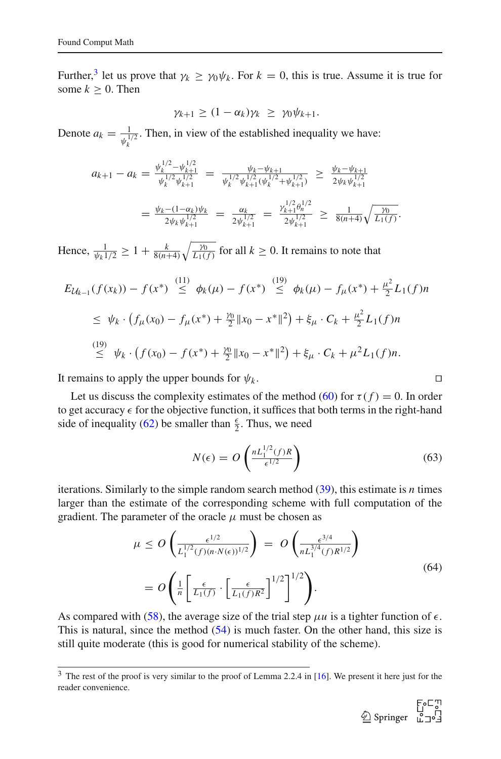Further,<sup>[3](#page-24-0)</sup> let us prove that  $\gamma_k \ge \gamma_0 \psi_k$ . For  $k = 0$ , this is true. Assume it is true for some  $k > 0$ . Then

$$
\gamma_{k+1} \geq (1 - \alpha_k) \gamma_k \geq \gamma_0 \psi_{k+1}.
$$

Denote  $a_k = \frac{1}{\psi_i^1}$  $\frac{1}{\psi_k^{1/2}}$ . Then, in view of the established inequality we have:

$$
a_{k+1} - a_k = \frac{\psi_k^{1/2} - \psi_{k+1}^{1/2}}{\psi_k^{1/2} \psi_{k+1}^{1/2}} = \frac{\psi_k - \psi_{k+1}}{\psi_k^{1/2} \psi_{k+1}^{1/2} (\psi_k^{1/2} + \psi_{k+1}^{1/2})} \ge \frac{\psi_k - \psi_{k+1}}{2\psi_k \psi_{k+1}^{1/2}}
$$
  
= 
$$
\frac{\psi_k - (1 - \alpha_k)\psi_k}{2\psi_k \psi_{k+1}^{1/2}} = \frac{\alpha_k}{2\psi_{k+1}^{1/2}} = \frac{\gamma_{k+1}^{1/2} \theta_n^{1/2}}{2\psi_{k+1}^{1/2}} \ge \frac{1}{8(n+4)} \sqrt{\frac{\gamma_0}{L_1(f)}}.
$$

Hence,  $\frac{1}{\psi_k 1/2} \geq 1 + \frac{k}{8(n+4)}$  $\sqrt{20}$  $\frac{p_0}{L_1(f)}$  for all  $k \ge 0$ . It remains to note that

$$
E_{\mathcal{U}_{k-1}}(f(x_k)) - f(x^*) \stackrel{(11)}{\leq} \phi_k(\mu) - f(x^*) \stackrel{(19)}{\leq} \phi_k(\mu) - f_\mu(x^*) + \frac{\mu^2}{2} L_1(f)n
$$
  

$$
\leq \psi_k \cdot \left(f_\mu(x_0) - f_\mu(x^*) + \frac{\nu_0}{2} \|x_0 - x^*\|^2\right) + \xi_\mu \cdot C_k + \frac{\mu^2}{2} L_1(f)n
$$
  

$$
\stackrel{(19)}{\leq} \psi_k \cdot \left(f(x_0) - f(x^*) + \frac{\nu_0}{2} \|x_0 - x^*\|^2\right) + \xi_\mu \cdot C_k + \mu^2 L_1(f)n.
$$

It remains to apply the upper bounds for  $\psi_k$ . □

Let us discuss the complexity estimates of the method [\(60\)](#page-21-1) for  $\tau(f) = 0$ . In order to get accuracy  $\epsilon$  for the objective function, it suffices that both terms in the right-hand side of inequality [\(62\)](#page-22-0) be smaller than  $\frac{\epsilon}{2}$ . Thus, we need

$$
N(\epsilon) = O\left(\frac{n L_1^{1/2}(f)R}{\epsilon^{1/2}}\right)
$$
\n(63)

iterations. Similarly to the simple random search method [\(39\)](#page-14-0), this estimate is *n* times larger than the estimate of the corresponding scheme with full computation of the gradient. The parameter of the oracle  $\mu$  must be chosen as

$$
\mu \le O\left(\frac{\epsilon^{1/2}}{L_1^{1/2}(f)(n \cdot N(\epsilon))^{1/2}}\right) = O\left(\frac{\epsilon^{3/4}}{n L_1^{3/4}(f) R^{1/2}}\right)
$$

$$
= O\left(\frac{1}{n} \left[\frac{\epsilon}{L_1(f)} \cdot \left[\frac{\epsilon}{L_1(f) R^2}\right]^{1/2}\right]^{1/2}\right).
$$
(64)

<span id="page-24-1"></span>As compared with [\(58\)](#page-20-0), the average size of the trial step  $\mu u$  is a tighter function of  $\epsilon$ . This is natural, since the method [\(54\)](#page-19-0) is much faster. On the other hand, this size is still quite moderate (this is good for numerical stability of the scheme).

<span id="page-24-0"></span><sup>&</sup>lt;sup>3</sup> The rest of the proof is very similar to the proof of Lemma 2.2.4 in [\[16](#page-39-6)]. We present it here just for the reader convenience.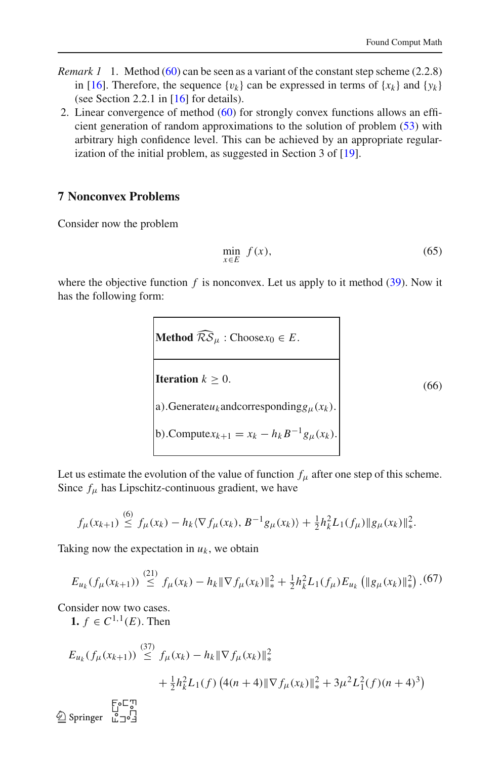- *Remark 1* 1. Method [\(60\)](#page-21-1) can be seen as a variant of the constant step scheme (2.2.8) in [\[16\]](#page-39-6). Therefore, the sequence  $\{v_k\}$  can be expressed in terms of  $\{x_k\}$  and  $\{y_k\}$ (see Section 2.2.1 in [\[16\]](#page-39-6) for details).
- 2. Linear convergence of method [\(60\)](#page-21-1) for strongly convex functions allows an efficient generation of random approximations to the solution of problem [\(53\)](#page-18-1) with arbitrary high confidence level. This can be achieved by an appropriate regularization of the initial problem, as suggested in Section 3 of [\[19](#page-39-8)].

#### <span id="page-25-0"></span>**7 Nonconvex Problems**

Consider now the problem

$$
\min_{x \in E} f(x),\tag{65}
$$

where the objective function  $f$  is nonconvex. Let us apply to it method  $(39)$ . Now it has the following form:

> **Method**  $\widehat{\mathcal{RS}}_{\mu}$  : Choose $x_0 \in E$ . **Iteration**  $k \geq 0$ . a).Generate $u_k$  and corresponding  $g_\mu(x_k)$ . b). Compute $x_{k+1} = x_k - h_k B^{-1} g_\mu(x_k)$ . (66)

<span id="page-25-1"></span>Let us estimate the evolution of the value of function  $f_\mu$  after one step of this scheme. Since  $f_{\mu}$  has Lipschitz-continuous gradient, we have

$$
f_{\mu}(x_{k+1}) \stackrel{(6)}{\leq} f_{\mu}(x_k) - h_k \langle \nabla f_{\mu}(x_k), B^{-1} g_{\mu}(x_k) \rangle + \frac{1}{2} h_k^2 L_1(f_{\mu}) \| g_{\mu}(x_k) \|_{*}^2.
$$

Taking now the expectation in  $u_k$ , we obtain

$$
E_{u_k}(f_\mu(x_{k+1})) \stackrel{(21)}{\leq} f_\mu(x_k) - h_k \|\nabla f_\mu(x_k)\|_{*}^2 + \frac{1}{2} h_k^2 L_1(f_\mu) E_{u_k} \left( \|g_\mu(x_k)\|_{*}^2 \right). \tag{67}
$$

Consider now two cases.

**1.** *f* ∈  $C^{1,1}(E)$ . Then

$$
E_{u_k}(f_{\mu}(x_{k+1})) \stackrel{(37)}{\leq} f_{\mu}(x_k) - h_k \|\nabla f_{\mu}(x_k)\|_{*}^{2}
$$
  
+  $\frac{1}{2}h_k^2 L_1(f) (4(n+4) \|\nabla f_{\mu}(x_k)\|_{*}^{2} + 3\mu^2 L_1^2(f)(n+4)^3)$   
 $\stackrel{\text{Eo}}{\leq} \text{Springer } \overset{\text{C}}{\underset{u \to 0}{\leq} 3}$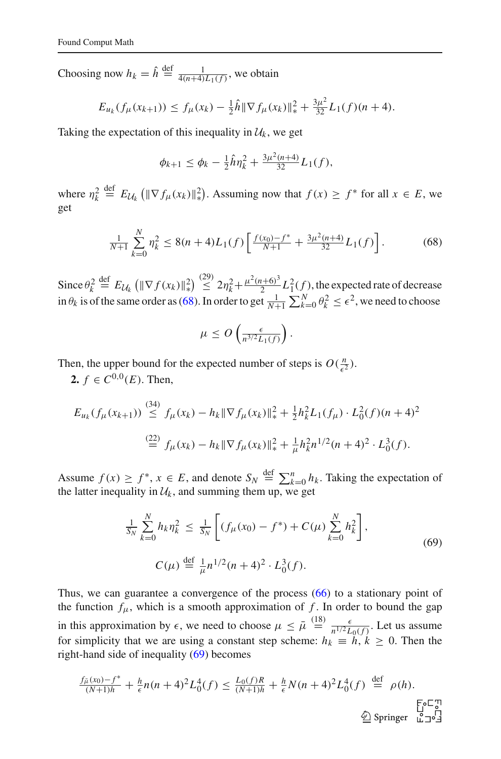Choosing now  $h_k = \hat{h} \stackrel{\text{def}}{=} \frac{1}{4(n+4)L_1(f)}$ , we obtain

$$
E_{u_k}(f_\mu(x_{k+1})) \le f_\mu(x_k) - \frac{1}{2}\hat{h} \|\nabla f_\mu(x_k)\|_{*}^2 + \frac{3\mu^2}{32}L_1(f)(n+4).
$$

Taking the expectation of this inequality in  $\mathcal{U}_k$ , we get

$$
\phi_{k+1} \leq \phi_k - \frac{1}{2}\hat{h}\eta_k^2 + \frac{3\mu^2(n+4)}{32}L_1(f),
$$

where  $\eta_k^2 \stackrel{\text{def}}{=} E_{\mathcal{U}_k} (\|\nabla f_\mu(x_k)\|_{*}^2)$ <sup>2</sup>/<sub>\*</sub>). Assuming now that *f*(*x*) ≥ *f*<sup>\*</sup> for all *x* ∈ *E*, we get

$$
\frac{1}{N+1} \sum_{k=0}^{N} \eta_k^2 \le 8(n+4)L_1(f) \left[ \frac{f(x_0) - f^*}{N+1} + \frac{3\mu^2(n+4)}{32} L_1(f) \right].
$$
 (68)

<span id="page-26-0"></span>Since  $\theta_k^2 \stackrel{\text{def}}{=} E_{\mathcal{U}_k} (\|\nabla f(x_k)\|_{*}^2)$ 2)  $\leq 2\eta_k^2+\frac{\mu^2(n+6)^3}{2}$  $\frac{2^{i+6}}{2}$   $L_1^2(f)$ , the expected rate of decrease in  $\theta_k$  is of the same order as [\(68\)](#page-26-0). In order to get  $\frac{1}{N+1} \sum_{k=0}^{N} \theta_k^2 \le \epsilon^2$ , we need to choose

$$
\mu \le O\left(\frac{\epsilon}{n^{3/2}L_1(f)}\right).
$$

Then, the upper bound for the expected number of steps is  $O(\frac{n}{\epsilon})$  $\frac{n}{\epsilon^2}$ ).

**2.**  $f \in C^{0,0}(E)$ . Then,

$$
E_{u_k}(f_\mu(x_{k+1})) \stackrel{(34)}{\leq} f_\mu(x_k) - h_k \|\nabla f_\mu(x_k)\|_*^2 + \frac{1}{2} h_k^2 L_1(f_\mu) \cdot L_0^2(f)(n+4)^2
$$
  

$$
\stackrel{(22)}{=} f_\mu(x_k) - h_k \|\nabla f_\mu(x_k)\|_*^2 + \frac{1}{\mu} h_k^2 n^{1/2} (n+4)^2 \cdot L_0^3(f).
$$

Assume  $f(x) \ge f^*$ ,  $x \in E$ , and denote  $S_N \stackrel{\text{def}}{=} \sum_{k=0}^n h_k$ . Taking the expectation of the latter inequality in  $\mathcal{U}_k$ , and summing them up, we get

$$
\frac{1}{S_N} \sum_{k=0}^{N} h_k \eta_k^2 \le \frac{1}{S_N} \left[ (f_\mu(x_0) - f^*) + C(\mu) \sum_{k=0}^{N} h_k^2 \right],
$$
\n
$$
C(\mu) \stackrel{\text{def}}{=} \frac{1}{\mu} n^{1/2} (n+4)^2 \cdot L_0^3(f).
$$
\n(69)

<span id="page-26-1"></span>Thus, we can guarantee a convergence of the process [\(66\)](#page-25-1) to a stationary point of the function  $f_{\mu}$ , which is a smooth approximation of f. In order to bound the gap in this approximation by  $\epsilon$ , we need to choose  $\mu \leq \bar{\mu} \stackrel{(18)}{=} \frac{\epsilon}{n^{1/2}L}$  $\frac{\epsilon}{n^{1/2}L_0(f)}$ . Let us assume for simplicity that we are using a constant step scheme:  $h_k \equiv h, k \ge 0$ . Then the right-hand side of inequality [\(69\)](#page-26-1) becomes

$$
\frac{f_{\bar{\mu}}(x_0) - f^*}{(N+1)h} + \frac{h}{\epsilon} n(n+4)^2 L_0^4(f) \le \frac{L_0(f)R}{(N+1)h} + \frac{h}{\epsilon} N(n+4)^2 L_0^4(f) \stackrel{\text{def}}{=} \rho(h).
$$
  
\n
$$
\text{Springer } \overset{\Gamma_0 \sqsubset \mathcal{P}}{\underset{\alpha \sqsupset \alpha}{\triangle 0}} \text{Springer } \overset{\Gamma_0 \sqsubset \mathcal{P}}{\underset{\alpha \sqsupset \alpha}{\triangle 0}} \frac{1}{\sqrt{2}}.
$$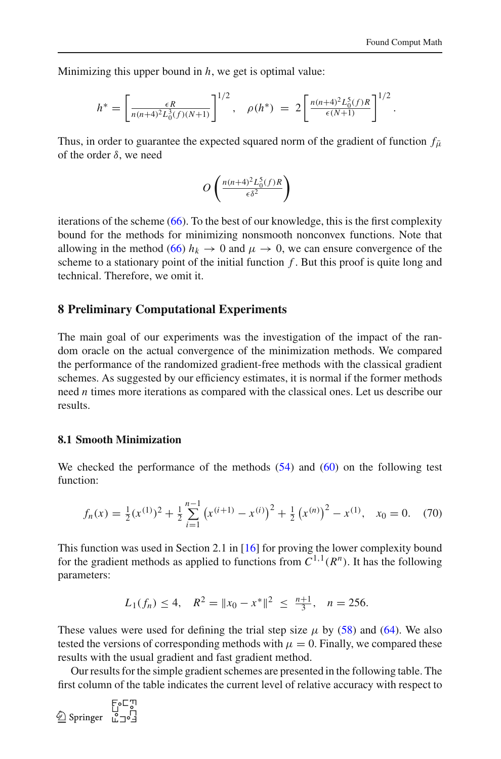Minimizing this upper bound in *h*, we get is optimal value:

$$
h^* = \left[\frac{\epsilon R}{n(n+4)^2 L_0^3(f)(N+1)}\right]^{1/2}, \quad \rho(h^*) = 2\left[\frac{n(n+4)^2 L_0^5(f)R}{\epsilon(N+1)}\right]^{1/2}.
$$

Thus, in order to guarantee the expected squared norm of the gradient of function  $f_{\bar{\mu}}$ of the order δ, we need

$$
O\left(\frac{n(n+4)^2L_0^5(f)R}{\epsilon\delta^2}\right)
$$

iterations of the scheme  $(66)$ . To the best of our knowledge, this is the first complexity bound for the methods for minimizing nonsmooth nonconvex functions. Note that allowing in the method [\(66\)](#page-25-1)  $h_k \to 0$  and  $\mu \to 0$ , we can ensure convergence of the scheme to a stationary point of the initial function *f* . But this proof is quite long and technical. Therefore, we omit it.

#### <span id="page-27-0"></span>**8 Preliminary Computational Experiments**

The main goal of our experiments was the investigation of the impact of the random oracle on the actual convergence of the minimization methods. We compared the performance of the randomized gradient-free methods with the classical gradient schemes. As suggested by our efficiency estimates, it is normal if the former methods need *n* times more iterations as compared with the classical ones. Let us describe our results.

#### **8.1 Smooth Minimization**

We checked the performance of the methods  $(54)$  and  $(60)$  on the following test function:

$$
f_n(x) = \frac{1}{2}(x^{(1)})^2 + \frac{1}{2}\sum_{i=1}^{n-1} (x^{(i+1)} - x^{(i)})^2 + \frac{1}{2}(x^{(n)})^2 - x^{(1)}, \quad x_0 = 0.
$$
 (70)

<span id="page-27-1"></span>This function was used in Section 2.1 in [\[16\]](#page-39-6) for proving the lower complexity bound for the gradient methods as applied to functions from  $C^{1,1}(R^n)$ . It has the following parameters:

$$
L_1(f_n) \le 4
$$
,  $R^2 = ||x_0 - x^*||^2 \le \frac{n+1}{3}$ ,  $n = 256$ .

These values were used for defining the trial step size  $\mu$  by [\(58\)](#page-20-0) and [\(64\)](#page-24-1). We also tested the versions of corresponding methods with  $\mu = 0$ . Finally, we compared these results with the usual gradient and fast gradient method.

Our results for the simple gradient schemes are presented in the following table. The first column of the table indicates the current level of relative accuracy with respect to

123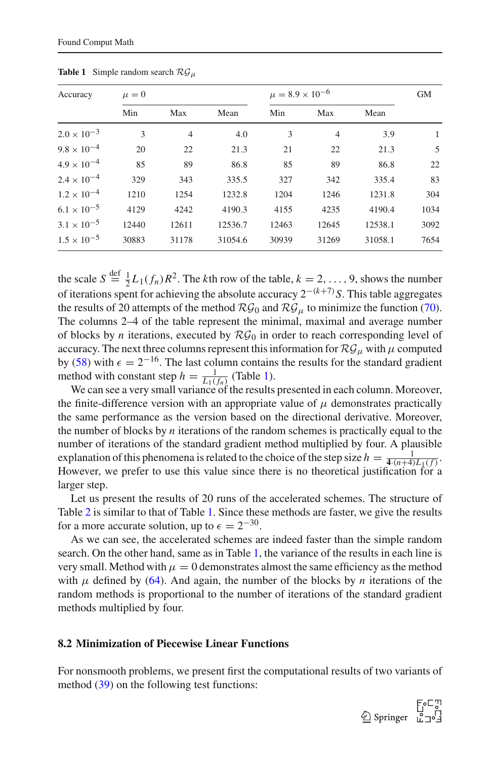<span id="page-28-0"></span>

| Accuracy             | $\mu = 0$ |                |         | $\mu = 8.9 \times 10^{-6}$ | <b>GM</b>      |         |      |
|----------------------|-----------|----------------|---------|----------------------------|----------------|---------|------|
|                      | Min       | Max            | Mean    | Min                        | Max            | Mean    |      |
| $2.0 \times 10^{-3}$ | 3         | $\overline{4}$ | 4.0     | 3                          | $\overline{4}$ | 3.9     | 1    |
| $9.8 \times 10^{-4}$ | 20        | 22             | 21.3    | 21                         | 22             | 21.3    | 5    |
| $4.9 \times 10^{-4}$ | 85        | 89             | 86.8    | 85                         | 89             | 86.8    | 22   |
| $2.4 \times 10^{-4}$ | 329       | 343            | 335.5   | 327                        | 342            | 335.4   | 83   |
| $1.2 \times 10^{-4}$ | 1210      | 1254           | 1232.8  | 1204                       | 1246           | 1231.8  | 304  |
| $6.1 \times 10^{-5}$ | 4129      | 4242           | 4190.3  | 4155                       | 4235           | 4190.4  | 1034 |
| $3.1 \times 10^{-5}$ | 12440     | 12611          | 12536.7 | 12463                      | 12645          | 12538.1 | 3092 |
| $1.5 \times 10^{-5}$ | 30883     | 31178          | 31054.6 | 30939                      | 31269          | 31058.1 | 7654 |

**Table 1** Simple random search  $\mathcal{RG}_{\mu}$ 

the scale  $S \stackrel{\text{def}}{=} \frac{1}{2}L_1(f_n)R^2$ . The *k*th row of the table,  $k = 2, ..., 9$ , shows the number of iterations spent for achieving the absolute accuracy 2−(*k*+7)*S*. This table aggregates the results of 20 attempts of the method  $\mathcal{RG}_0$  and  $\mathcal{RG}_\mu$  to minimize the function [\(70\)](#page-27-1). The columns 2–4 of the table represent the minimal, maximal and average number of blocks by *n* iterations, executed by  $\mathcal{RG}_0$  in order to reach corresponding level of accuracy. The next three columns represent this information for  $\mathcal{RG}_{\mu}$  with  $\mu$  computed by [\(58\)](#page-20-0) with  $\epsilon = 2^{-16}$ . The last column contains the results for the standard gradient method with constant step  $h = \frac{1}{L_1(f_n)}$  (Table [1\)](#page-28-0).

We can see a very small variance of the results presented in each column. Moreover, the finite-difference version with an appropriate value of  $\mu$  demonstrates practically the same performance as the version based on the directional derivative. Moreover, the number of blocks by *n* iterations of the random schemes is practically equal to the number of iterations of the standard gradient method multiplied by four. A plausible explanation of this phenomena is related to the choice of the step size  $h = \frac{1}{4 \cdot (n+4) L_1(f)}$ . However, we prefer to use this value since there is no theoretical justification for a larger step.

Let us present the results of 20 runs of the accelerated schemes. The structure of Table [2](#page-29-0) is similar to that of Table [1.](#page-28-0) Since these methods are faster, we give the results for a more accurate solution, up to  $\epsilon = 2^{-30}$ .

As we can see, the accelerated schemes are indeed faster than the simple random search. On the other hand, same as in Table [1,](#page-28-0) the variance of the results in each line is very small. Method with  $\mu = 0$  demonstrates almost the same efficiency as the method with  $\mu$  defined by [\(64\)](#page-24-1). And again, the number of the blocks by *n* iterations of the random methods is proportional to the number of iterations of the standard gradient methods multiplied by four.

#### **8.2 Minimization of Piecewise Linear Functions**

For nonsmooth problems, we present first the computational results of two variants of method  $(39)$  on the following test functions:

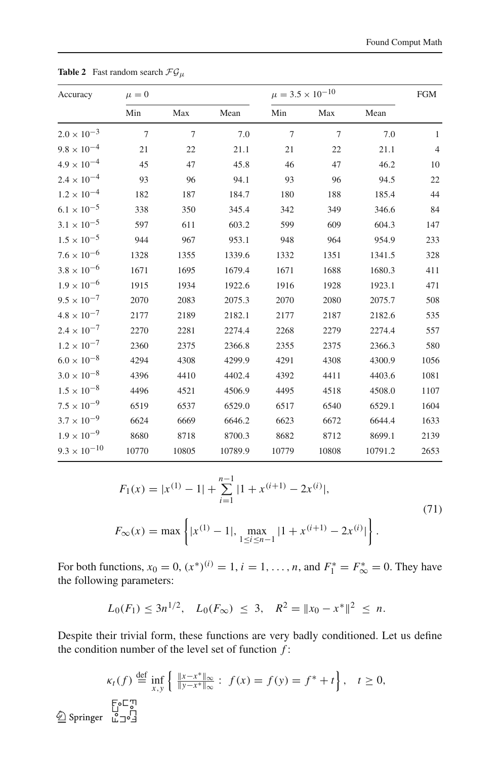<span id="page-29-0"></span>

| Accuracy              | $\mu = 0$      |                |         |                | $\mu = 3.5 \times 10^{-10}$ |         |                |  |
|-----------------------|----------------|----------------|---------|----------------|-----------------------------|---------|----------------|--|
|                       | Min            | Max            | Mean    | Min            | Max                         | Mean    |                |  |
| $2.0 \times 10^{-3}$  | $\overline{7}$ | $\overline{7}$ | 7.0     | $\overline{7}$ | $\overline{7}$              | 7.0     | $\mathbf{1}$   |  |
| $9.8 \times 10^{-4}$  | 21             | 22             | 21.1    | 21             | 22                          | 21.1    | $\overline{4}$ |  |
| $4.9\times10^{-4}$    | 45             | 47             | 45.8    | 46             | 47                          | 46.2    | 10             |  |
| $2.4 \times 10^{-4}$  | 93             | 96             | 94.1    | 93             | 96                          | 94.5    | 22             |  |
| $1.2 \times 10^{-4}$  | 182            | 187            | 184.7   | 180            | 188                         | 185.4   | 44             |  |
| $6.1\times10^{-5}$    | 338            | 350            | 345.4   | 342            | 349                         | 346.6   | 84             |  |
| $3.1 \times 10^{-5}$  | 597            | 611            | 603.2   | 599            | 609                         | 604.3   | 147            |  |
| $1.5\times10^{-5}$    | 944            | 967            | 953.1   | 948            | 964                         | 954.9   | 233            |  |
| $7.6\times10^{-6}$    | 1328           | 1355           | 1339.6  | 1332           | 1351                        | 1341.5  | 328            |  |
| $3.8\times10^{-6}$    | 1671           | 1695           | 1679.4  | 1671           | 1688                        | 1680.3  | 411            |  |
| $1.9\times10^{-6}$    | 1915           | 1934           | 1922.6  | 1916           | 1928                        | 1923.1  | 471            |  |
| $9.5 \times 10^{-7}$  | 2070           | 2083           | 2075.3  | 2070           | 2080                        | 2075.7  | 508            |  |
| $4.8\times10^{-7}$    | 2177           | 2189           | 2182.1  | 2177           | 2187                        | 2182.6  | 535            |  |
| $2.4 \times 10^{-7}$  | 2270           | 2281           | 2274.4  | 2268           | 2279                        | 2274.4  | 557            |  |
| $1.2\times10^{-7}$    | 2360           | 2375           | 2366.8  | 2355           | 2375                        | 2366.3  | 580            |  |
| $6.0\times10^{-8}$    | 4294           | 4308           | 4299.9  | 4291           | 4308                        | 4300.9  | 1056           |  |
| $3.0\times10^{-8}$    | 4396           | 4410           | 4402.4  | 4392           | 4411                        | 4403.6  | 1081           |  |
| $1.5 \times 10^{-8}$  | 4496           | 4521           | 4506.9  | 4495           | 4518                        | 4508.0  | 1107           |  |
| $7.5\times10^{-9}$    | 6519           | 6537           | 6529.0  | 6517           | 6540                        | 6529.1  | 1604           |  |
| $3.7 \times 10^{-9}$  | 6624           | 6669           | 6646.2  | 6623           | 6672                        | 6644.4  | 1633           |  |
| $1.9\times10^{-9}$    | 8680           | 8718           | 8700.3  | 8682           | 8712                        | 8699.1  | 2139           |  |
| $9.3 \times 10^{-10}$ | 10770          | 10805          | 10789.9 | 10779          | 10808                       | 10791.2 | 2653           |  |

**Table 2** Fast random search  $\mathcal{FG}_{\mu}$ 

$$
F_1(x) = |x^{(1)} - 1| + \sum_{i=1}^{n-1} |1 + x^{(i+1)} - 2x^{(i)}|,
$$
  
\n
$$
F_{\infty}(x) = \max \left\{ |x^{(1)} - 1|, \max_{1 \le i \le n-1} |1 + x^{(i+1)} - 2x^{(i)}| \right\}.
$$
\n(71)

<span id="page-29-1"></span>For both functions,  $x_0 = 0$ ,  $(x^*)^{(i)} = 1$ ,  $i = 1, ..., n$ , and  $F_1^* = F_{\infty}^* = 0$ . They have the following parameters:

$$
L_0(F_1) \le 3n^{1/2}, L_0(F_{\infty}) \le 3, R^2 = ||x_0 - x^*||^2 \le n.
$$

Despite their trivial form, these functions are very badly conditioned. Let us define the condition number of the level set of function *f* :

$$
\kappa_t(f) \stackrel{\text{def}}{=} \inf_{x,y} \left\{ \frac{\|x - x^*\|_{\infty}}{\|y - x^*\|_{\infty}} : f(x) = f(y) = f^* + t \right\}, \quad t \ge 0,
$$
  

$$
\stackrel{\text{Eo} \subset \mathbb{T}}{\text{2}} \text{ Springer } \stackrel{\mathbb{T}}{\mathbb{L}} \supseteq \stackrel{\mathbb{T}}{\mathbb{L}}
$$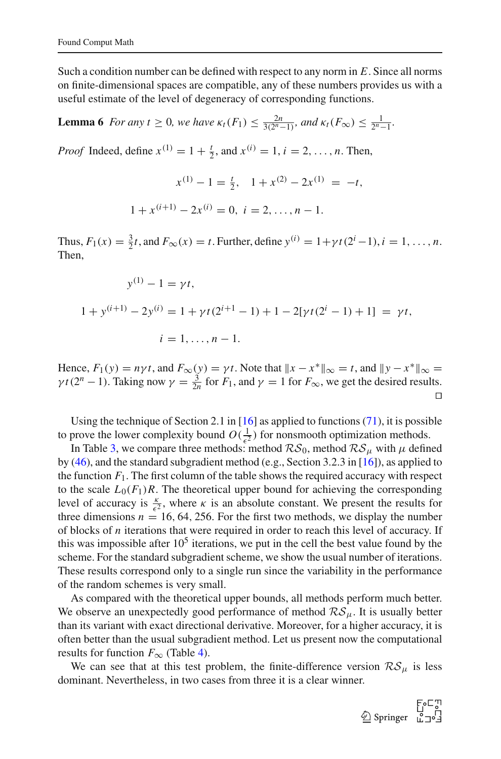1 + *x*

Such a condition number can be defined with respect to any norm in *E*. Since all norms on finite-dimensional spaces are compatible, any of these numbers provides us with a useful estimate of the level of degeneracy of corresponding functions.

# **Lemma 6** *For any*  $t \ge 0$ *, we have*  $\kappa_t(F_1) \le \frac{2n}{3(2^n-1)}$ *, and*  $\kappa_t(F_\infty) \le \frac{1}{2^n-1}$ *.*

*Proof* Indeed, define  $x^{(1)} = 1 + \frac{t}{2}$ , and  $x^{(i)} = 1$ ,  $i = 2, ..., n$ . Then,

$$
x^{(1)} - 1 = \frac{t}{2}, \quad 1 + x^{(2)} - 2x^{(1)} = -t,
$$

$$
+ x^{(i+1)} - 2x^{(i)} = 0, \quad i = 2, \dots, n - 1.
$$

Thus,  $F_1(x) = \frac{3}{2}t$ , and  $F_{\infty}(x) = t$ . Further, define  $y^{(i)} = 1 + \gamma t (2^i - 1)$ ,  $i = 1, ..., n$ . Then,

$$
y^{(1)} - 1 = \gamma t,
$$
  
\n
$$
1 + y^{(i+1)} - 2y^{(i)} = 1 + \gamma t (2^{i+1} - 1) + 1 - 2[\gamma t (2^{i} - 1) + 1] = \gamma t,
$$
  
\n
$$
i = 1, ..., n - 1.
$$

Hence,  $F_1(y) = n\gamma t$ , and  $F_{\infty}(y) = \gamma t$ . Note that  $||x - x^*||_{\infty} = t$ , and  $||y - x^*||_{\infty} =$  $\gamma t(2^n - 1)$ . Taking now  $\gamma = \frac{3}{2n}$  for  $F_1$ , and  $\gamma = 1$  for  $F_{\infty}$ , we get the desired results. ⊓⊔

Using the technique of Section 2.1 in [\[16](#page-39-6)] as applied to functions [\(71\)](#page-29-1), it is possible to prove the lower complexity bound  $O(\frac{1}{\epsilon^2})$  $\frac{1}{\epsilon^2}$ ) for nonsmooth optimization methods.

In Table [3,](#page-31-0) we compare three methods: method  $\mathcal{RS}_0$ , method  $\mathcal{RS}_u$  with  $\mu$  defined by [\(46\)](#page-16-0), and the standard subgradient method (e.g., Section 3.2.3 in [\[16\]](#page-39-6)), as applied to the function  $F_1$ . The first column of the table shows the required accuracy with respect to the scale  $L_0(F_1)R$ . The theoretical upper bound for achieving the corresponding level of accuracy is  $\frac{k}{\epsilon^2}$ , where  $\kappa$  is an absolute constant. We present the results for three dimensions  $n = 16, 64, 256$ . For the first two methods, we display the number of blocks of *n* iterations that were required in order to reach this level of accuracy. If this was impossible after  $10<sup>5</sup>$  iterations, we put in the cell the best value found by the scheme. For the standard subgradient scheme, we show the usual number of iterations. These results correspond only to a single run since the variability in the performance of the random schemes is very small.

As compared with the theoretical upper bounds, all methods perform much better. We observe an unexpectedly good performance of method  $\mathcal{RS}_{\mu}$ . It is usually better than its variant with exact directional derivative. Moreover, for a higher accuracy, it is often better than the usual subgradient method. Let us present now the computational results for function  $F_{\infty}$  (Table [4\)](#page-31-1).

We can see that at this test problem, the finite-difference version  $\mathcal{RS}_{\mu}$  is less dominant. Nevertheless, in two cases from three it is a clear winner.

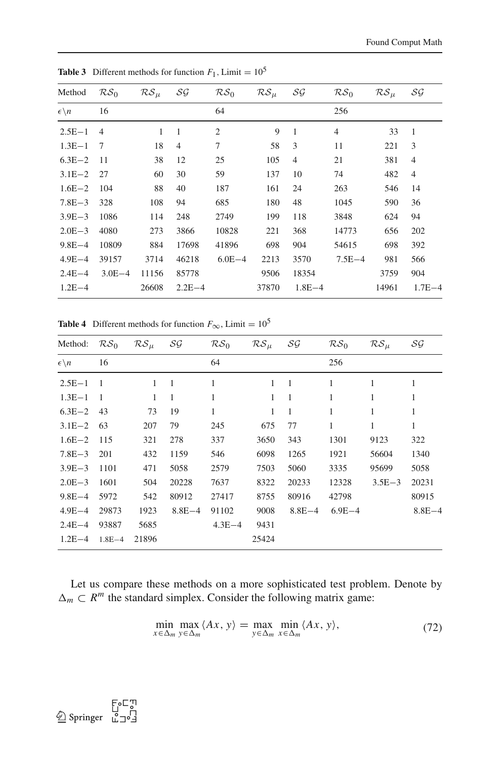| Method                  | RS <sub>0</sub> | $RS_{\mu}$ | $\mathcal{SG}$ | RS <sub>0</sub> | ${\cal RS}_\mu$ | $\mathcal{SG}$ | RS <sub>0</sub> | $RS_u$ | $\mathcal{SG}$ |
|-------------------------|-----------------|------------|----------------|-----------------|-----------------|----------------|-----------------|--------|----------------|
| $\epsilon \backslash n$ | 16              |            |                | 64              |                 |                | 256             |        |                |
| $2.5E - 1$              | $\overline{4}$  | 1          | 1              | $\overline{c}$  | 9               | 1              | $\overline{4}$  | 33     | 1              |
| $1.3E - 1$              | 7               | 18         | $\overline{4}$ | 7               | 58              | 3              | 11              | 221    | 3              |
| $6.3E - 2$              | 11              | 38         | 12             | 25              | 105             | $\overline{4}$ | 21              | 381    | $\overline{4}$ |
| $3.1E - 2$              | 27              | 60         | 30             | 59              | 137             | 10             | 74              | 482    | $\overline{4}$ |
| $1.6E - 2$              | 104             | 88         | 40             | 187             | 161             | 24             | 263             | 546    | 14             |
| $7.8E - 3$              | 328             | 108        | 94             | 685             | 180             | 48             | 1045            | 590    | 36             |
| $3.9E - 3$              | 1086            | 114        | 248            | 2749            | 199             | 118            | 3848            | 624    | 94             |
| $2.0E - 3$              | 4080            | 273        | 3866           | 10828           | 221             | 368            | 14773           | 656    | 202            |
| $9.8E - 4$              | 10809           | 884        | 17698          | 41896           | 698             | 904            | 54615           | 698    | 392            |
| $4.9E-4$                | 39157           | 3714       | 46218          | $6.0E - 4$      | 2213            | 3570           | $7.5E - 4$      | 981    | 566            |
| $2.4E - 4$              | $3.0E - 4$      | 11156      | 85778          |                 | 9506            | 18354          |                 | 3759   | 904            |
| $1.2E - 4$              |                 | 26608      | $2.2E - 4$     |                 | 37870           | $1.8E - 4$     |                 | 14961  | $1.7E - 4$     |

<span id="page-31-0"></span>**Table 3** Different methods for function  $F_1$ , Limit =  $10^5$ 

<span id="page-31-1"></span>**Table 4** Different methods for function  $F_{\infty}$ , Limit = 10<sup>5</sup>

| Method:                 | RS <sub>0</sub> | $\mathcal{RS}_{\mu}$ | $\mathcal{SG}$ | RS <sub>0</sub> | ${\cal RS}_\mu$ | SG             | RS <sub>0</sub> | ${\cal RS}_\mu$ | $\mathcal{SG}$ |
|-------------------------|-----------------|----------------------|----------------|-----------------|-----------------|----------------|-----------------|-----------------|----------------|
| $\epsilon \backslash n$ | 16              |                      |                | 64              |                 |                | 256             |                 |                |
| $2.5E - 1$              | - 1             | 1                    | $\overline{1}$ | 1               | 1               | $\overline{1}$ | 1               |                 |                |
| $1.3E - 1$              | - 1             | 1                    | 1              | 1               | 1               | 1              |                 |                 |                |
| $6.3E - 2$              | 43              | 73                   | 19             | 1               | 1               | 1              | 1               |                 |                |
| $3.1E - 2$              | 63              | 207                  | 79             | 245             | 675             | 77             | 1               | 1               | 1              |
| $1.6E - 2$              | 115             | 321                  | 278            | 337             | 3650            | 343            | 1301            | 9123            | 322            |
| $7.8E - 3$              | 201             | 432                  | 1159           | 546             | 6098            | 1265           | 1921            | 56604           | 1340           |
| $3.9E - 3$              | 1101            | 471                  | 5058           | 2579            | 7503            | 5060           | 3335            | 95699           | 5058           |
| $2.0E - 3$              | 1601            | 504                  | 20228          | 7637            | 8322            | 20233          | 12328           | $3.5E - 3$      | 20231          |
| $9.8E - 4$              | 5972            | 542                  | 80912          | 27417           | 8755            | 80916          | 42798           |                 | 80915          |
| $4.9E - 4$              | 29873           | 1923                 | $8.8E - 4$     | 91102           | 9008            | $8.8E - 4$     | $6.9E - 4$      |                 | $8.8E - 4$     |
| $2.4E - 4$              | 93887           | 5685                 |                | $4.3E - 4$      | 9431            |                |                 |                 |                |
| $1.2E - 4$              | $1.8E - 4$      | 21896                |                |                 | 25424           |                |                 |                 |                |

<span id="page-31-2"></span>Let us compare these methods on a more sophisticated test problem. Denote by  $\Delta_m \subset R^m$  the standard simplex. Consider the following matrix game:

$$
\min_{x \in \Delta_m} \max_{y \in \Delta_m} \langle Ax, y \rangle = \max_{y \in \Delta_m} \min_{x \in \Delta_m} \langle Ax, y \rangle,
$$
\n(72)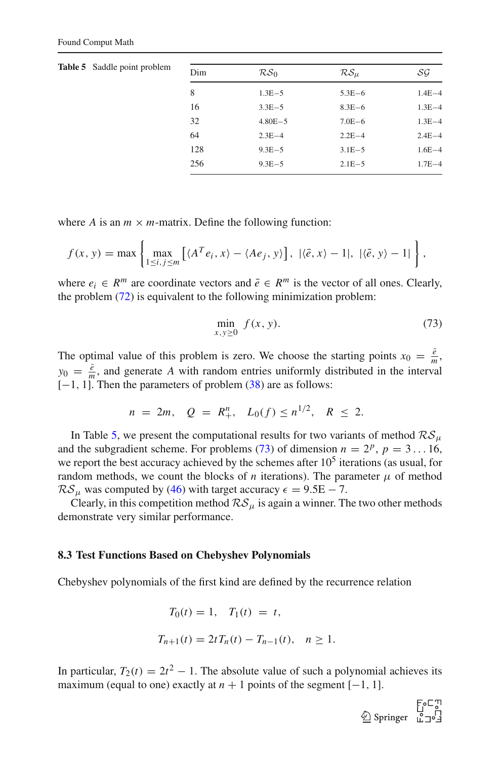<span id="page-32-0"></span>

| <b>Table 5</b> Saddle point problem | Dim | RS <sub>0</sub> | $\mathcal{RS}_u$ | SG         |
|-------------------------------------|-----|-----------------|------------------|------------|
|                                     | 8   | $1.3E - 5$      | $5.3E - 6$       | $1.4E - 4$ |
|                                     | 16  | $3.3E - 5$      | $8.3E - 6$       | $1.3E - 4$ |
|                                     | 32  | $4.80E - 5$     | $7.0E - 6$       | $1.3E - 4$ |
|                                     | 64  | $2.3E - 4$      | $2.2E - 4$       | $2.4E - 4$ |
|                                     | 128 | $9.3E - 5$      | $3.1E - 5$       | $1.6E - 4$ |
|                                     | 256 | $9.3E - 5$      | $2.1E - 5$       | $1.7E - 4$ |

where *A* is an  $m \times m$ -matrix. Define the following function:

$$
f(x, y) = \max \left\{ \max_{1 \le i, j \le m} \left[ \langle A^T e_i, x \rangle - \langle Ae_j, y \rangle \right], \ |\langle \bar{e}, x \rangle - 1|, \ |\langle \bar{e}, y \rangle - 1| \right\},\
$$

where  $e_i \in R^m$  are coordinate vectors and  $\overline{e} \in R^m$  is the vector of all ones. Clearly, the problem [\(72\)](#page-31-2) is equivalent to the following minimization problem:

$$
\min_{x,y\geq 0} f(x,y). \tag{73}
$$

<span id="page-32-1"></span>The optimal value of this problem is zero. We choose the starting points  $x_0 = \frac{\bar{e}}{m}$ ,  $y_0 = \frac{\bar{e}}{m}$ , and generate *A* with random entries uniformly distributed in the interval  $[-1, 1]$ . Then the parameters of problem [\(38\)](#page-13-1) are as follows:

$$
n = 2m, \quad Q = R_+^n, \quad L_0(f) \le n^{1/2}, \quad R \le 2.
$$

In Table [5,](#page-32-0) we present the computational results for two variants of method  $\mathcal{RS}_u$ and the subgradient scheme. For problems [\(73\)](#page-32-1) of dimension  $n = 2^p$ ,  $p = 3...16$ , we report the best accuracy achieved by the schemes after  $10<sup>5</sup>$  iterations (as usual, for random methods, we count the blocks of *n* iterations). The parameter  $\mu$  of method  $R\mathcal{S}_{\mu}$  was computed by [\(46\)](#page-16-0) with target accuracy  $\epsilon = 9.5E - 7$ .

Clearly, in this competition method  $\mathcal{RS}_{\mu}$  is again a winner. The two other methods demonstrate very similar performance.

#### **8.3 Test Functions Based on Chebyshev Polynomials**

Chebyshev polynomials of the first kind are defined by the recurrence relation

$$
T_0(t) = 1, \quad T_1(t) = t,
$$
  

$$
T_{n+1}(t) = 2tT_n(t) - T_{n-1}(t), \quad n \ge 1.
$$

In particular,  $T_2(t) = 2t^2 - 1$ . The absolute value of such a polynomial achieves its maximum (equal to one) exactly at  $n + 1$  points of the segment  $[-1, 1]$ .

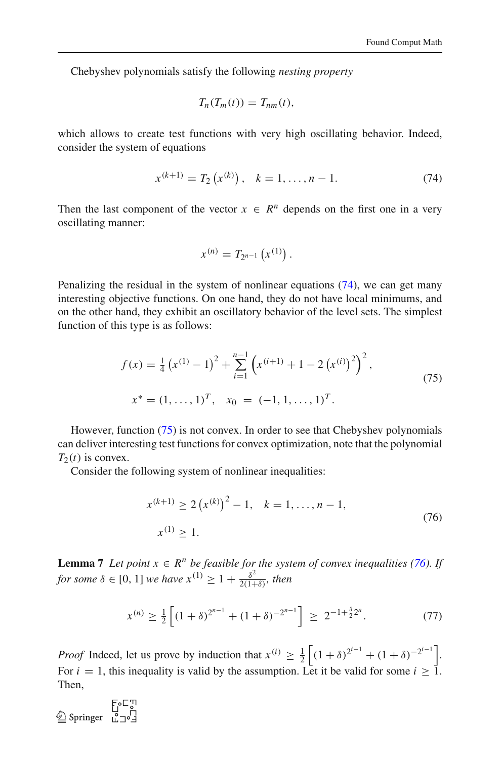Chebyshev polynomials satisfy the following *nesting property*

$$
T_n(T_m(t))=T_{nm}(t),
$$

which allows to create test functions with very high oscillating behavior. Indeed, consider the system of equations

$$
x^{(k+1)} = T_2(x^{(k)}), \quad k = 1, \dots, n-1.
$$
 (74)

<span id="page-33-0"></span>Then the last component of the vector  $x \in R^n$  depends on the first one in a very oscillating manner:

$$
x^{(n)} = T_{2^{n-1}}\left(x^{(1)}\right).
$$

Penalizing the residual in the system of nonlinear equations [\(74\)](#page-33-0), we can get many interesting objective functions. On one hand, they do not have local minimums, and on the other hand, they exhibit an oscillatory behavior of the level sets. The simplest function of this type is as follows:

$$
f(x) = \frac{1}{4} (x^{(1)} - 1)^2 + \sum_{i=1}^{n-1} (x^{(i+1)} + 1 - 2 (x^{(i)})^2)^2,
$$
  
\n
$$
x^* = (1, ..., 1)^T, \quad x_0 = (-1, 1, ..., 1)^T.
$$
\n(75)

<span id="page-33-1"></span>However, function [\(75\)](#page-33-1) is not convex. In order to see that Chebyshev polynomials can deliver interesting test functions for convex optimization, note that the polynomial  $T_2(t)$  is convex.

Consider the following system of nonlinear inequalities:

$$
x^{(k+1)} \ge 2(x^{(k)})^2 - 1, \quad k = 1, ..., n - 1,
$$
  
\n
$$
x^{(1)} \ge 1.
$$
\n(76)

<span id="page-33-2"></span>**Lemma 7** *Let point*  $x \in \mathbb{R}^n$  *be feasible for the system of convex inequalities [\(76\)](#page-33-2). If for some*  $\delta \in [0, 1]$  *we have*  $x^{(1)} \ge 1 + \frac{\delta^2}{2(1+\delta)}$ *, then* 

$$
x^{(n)} \ge \frac{1}{2} \left[ (1+\delta)^{2^{n-1}} + (1+\delta)^{-2^{n-1}} \right] \ge 2^{-1+\frac{\delta}{2}2^n}.
$$
 (77)

*Proof* Indeed, let us prove by induction that  $x^{(i)} \geq \frac{1}{2}$  $\left[ (1 + \delta)^{2^{i-1}} + (1 + \delta)^{-2^{i-1}} \right]$ For  $i = 1$ , this inequality is valid by the assumption. Let it be valid for some  $i \ge 1$ . Then,

 $\begin{array}{c}\n\text{E-}\mathbb{C}^{\text{T}} \\
\text{S}\mathbb{C} \\
\text{S}\mathbb{C}\n\end{array}$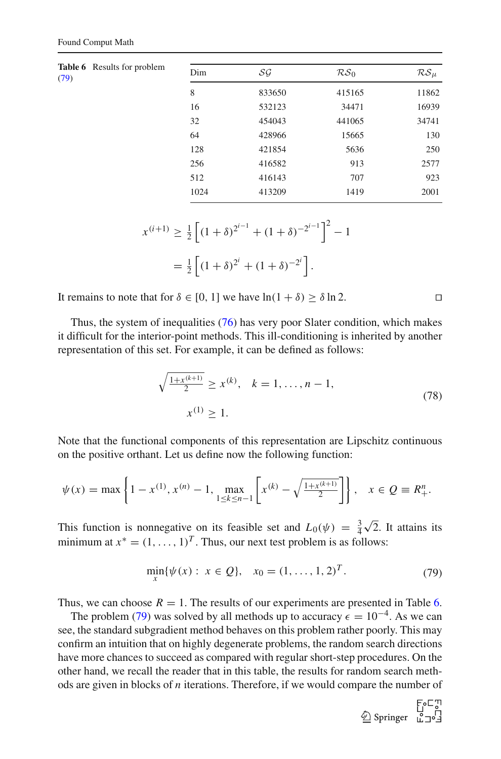<span id="page-34-1"></span>

| <b>Table 6</b> Results for problem<br>(79) | Dim  | SG     | RS <sub>0</sub> | $RS_{\mu}$ |
|--------------------------------------------|------|--------|-----------------|------------|
|                                            | 8    | 833650 | 415165          | 11862      |
|                                            | 16   | 532123 | 34471           | 16939      |
|                                            | 32   | 454043 | 441065          | 34741      |
|                                            | 64   | 428966 | 15665           | 130        |
|                                            | 128  | 421854 | 5636            | 250        |
|                                            | 256  | 416582 | 913             | 2577       |
|                                            | 512  | 416143 | 707             | 923        |
|                                            | 1024 | 413209 | 1419            | 2001       |
|                                            |      |        |                 |            |

$$
x^{(i+1)} \ge \frac{1}{2} \left[ (1+\delta)^{2^{i-1}} + (1+\delta)^{-2^{i-1}} \right]^2 - 1
$$
  
=  $\frac{1}{2} \left[ (1+\delta)^{2^i} + (1+\delta)^{-2^i} \right].$ 

It remains to note that for  $\delta \in [0, 1]$  we have  $\ln(1 + \delta) \ge \delta \ln 2$ .

Thus, the system of inequalities  $(76)$  has very poor Slater condition, which makes it difficult for the interior-point methods. This ill-conditioning is inherited by another representation of this set. For example, it can be defined as follows:

$$
\sqrt{\frac{1+x^{(k+1)}}{2}} \ge x^{(k)}, \quad k = 1, \dots, n-1,
$$
\n
$$
x^{(1)} \ge 1.
$$
\n(78)

Note that the functional components of this representation are Lipschitz continuous on the positive orthant. Let us define now the following function:

$$
\psi(x) = \max\left\{1 - x^{(1)}, x^{(n)} - 1, \max_{1 \le k \le n-1} \left[x^{(k)} - \sqrt{\frac{1 + x^{(k+1)}}{2}}\right]\right\}, \quad x \in \mathcal{Q} \equiv R_+^n.
$$

This function is nonnegative on its feasible set and  $L_0(\psi) = \frac{3}{4}$  $\sqrt{2}$ . It attains its minimum at  $x^* = (1, ..., 1)^T$ . Thus, our next test problem is as follows:

$$
\min_{x} \{ \psi(x) : x \in Q \}, \quad x_0 = (1, \dots, 1, 2)^T. \tag{79}
$$

<span id="page-34-0"></span>Thus, we can choose  $R = 1$ . The results of our experiments are presented in Table [6.](#page-34-1)

The problem [\(79\)](#page-34-0) was solved by all methods up to accuracy  $\epsilon = 10^{-4}$ . As we can see, the standard subgradient method behaves on this problem rather poorly. This may confirm an intuition that on highly degenerate problems, the random search directions have more chances to succeed as compared with regular short-step procedures. On the other hand, we recall the reader that in this table, the results for random search methods are given in blocks of *n* iterations. Therefore, if we would compare the number of



$$
\Box
$$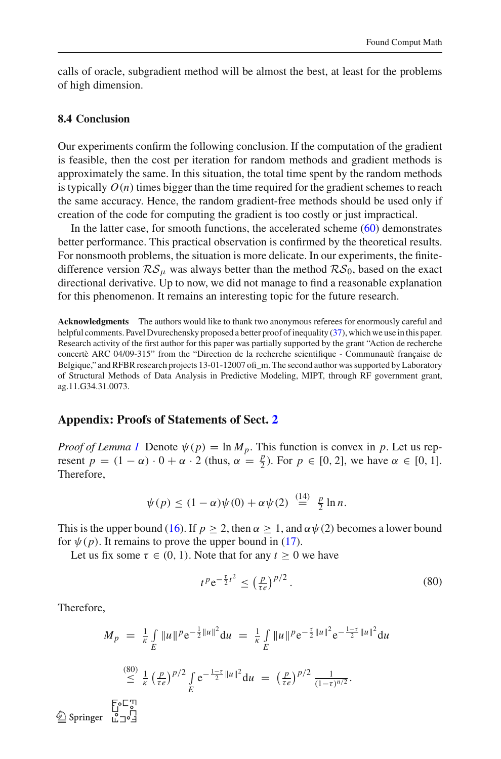calls of oracle, subgradient method will be almost the best, at least for the problems of high dimension.

#### **8.4 Conclusion**

Our experiments confirm the following conclusion. If the computation of the gradient is feasible, then the cost per iteration for random methods and gradient methods is approximately the same. In this situation, the total time spent by the random methods is typically  $O(n)$  times bigger than the time required for the gradient schemes to reach the same accuracy. Hence, the random gradient-free methods should be used only if creation of the code for computing the gradient is too costly or just impractical.

In the latter case, for smooth functions, the accelerated scheme [\(60\)](#page-21-1) demonstrates better performance. This practical observation is confirmed by the theoretical results. For nonsmooth problems, the situation is more delicate. In our experiments, the finitedifference version  $\mathcal{RS}_{\mu}$  was always better than the method  $\mathcal{RS}_0$ , based on the exact directional derivative. Up to now, we did not manage to find a reasonable explanation for this phenomenon. It remains an interesting topic for the future research.

**Acknowledgments** The authors would like to thank two anonymous referees for enormously careful and helpful comments. Pavel Dvurechensky proposed a better proof of inequality [\(37\)](#page-12-0), which we use in this paper. Research activity of the first author for this paper was partially supported by the grant "Action de recherche concertè ARC 04/09-315" from the "Direction de la recherche scientifique - Communautè française de Belgique," and RFBR research projects 13-01-12007 ofi\_m. The second author was supported by Laboratory of Structural Methods of Data Analysis in Predictive Modeling, MIPT, through RF government grant, ag.11.G34.31.0073.

#### **Appendix: Proofs of Statements of Sect. [2](#page-5-0)**

*Proof of Lemma [1](#page-7-3)* Denote  $\psi(p) = \ln M_p$ . This function is convex in p. Let us represent  $p = (1 - \alpha) \cdot 0 + \alpha \cdot 2$  (thus,  $\alpha = \frac{p}{2}$ )  $\frac{p}{2}$ ). For *p* ∈ [0, 2], we have *α* ∈ [0, 1]. Therefore,

$$
\psi(p) \le (1-\alpha)\psi(0) + \alpha\psi(2) \stackrel{(14)}{=} \frac{p}{2}\ln n.
$$

This is the upper bound [\(16\)](#page-7-4). If  $p \ge 2$ , then  $\alpha \ge 1$ , and  $\alpha \psi(2)$  becomes a lower bound for  $\psi(p)$ . It remains to prove the upper bound in [\(17\)](#page-7-2).

Let us fix some  $\tau \in (0, 1)$ . Note that for any  $t \ge 0$  we have

$$
t^p e^{-\frac{\tau}{2}t^2} \le (\frac{p}{\tau e})^{p/2}.
$$
\n(80)

Therefore,

$$
M_p = \frac{1}{\kappa} \int_E ||u||^p e^{-\frac{1}{2}||u||^2} du = \frac{1}{\kappa} \int_E ||u||^p e^{-\frac{\tau}{2}||u||^2} e^{-\frac{1-\tau}{2}||u||^2} du
$$
  
\n
$$
\leq \frac{(80)}{\kappa} \frac{1}{\kappa} \left(\frac{p}{\tau e}\right)^{p/2} \int_E e^{-\frac{1-\tau}{2}||u||^2} du = \left(\frac{p}{\tau e}\right)^{p/2} \frac{1}{(1-\tau)^{n/2}}.
$$
  
\n
$$
\text{Springer } \lim_{u \to 0} \frac{\Gamma_0 \Gamma_0}{2}
$$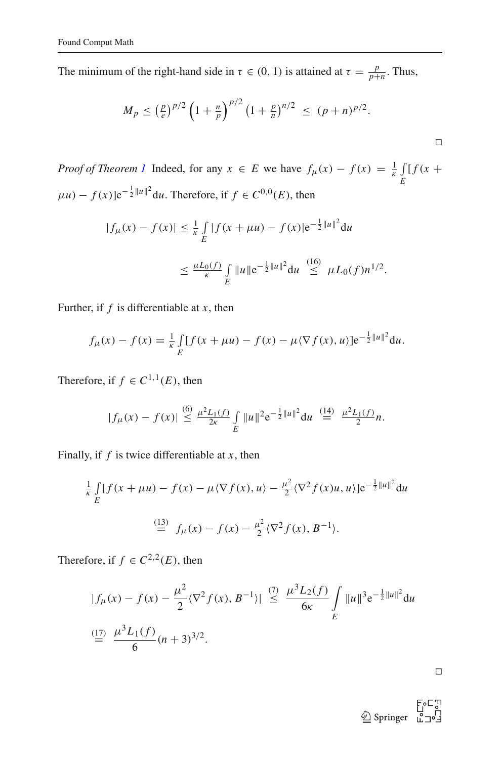The minimum of the right-hand side in  $\tau \in (0, 1)$  is attained at  $\tau = \frac{p}{p+1}$  $\frac{p}{p+n}$ . Thus,

$$
M_p \leq \left(\frac{p}{e}\right)^{p/2} \left(1 + \frac{n}{p}\right)^{p/2} \left(1 + \frac{p}{n}\right)^{n/2} \leq (p+n)^{p/2}.
$$

*Proof of Theorem [1](#page-7-5)* Indeed, for any  $x \in E$  we have  $f_{\mu}(x) - f(x) = \frac{1}{\kappa} \int_{\mu}^{x}$  $\int\limits_E$   $\int\limits_E$   $\int f(x +$  $\mu$ *u*) –  $f(x)$ ]e<sup>- $\frac{1}{2}$ ||*u*||<sup>2</sup> d*u*. Therefore, if  $f \in C^{0,0}(E)$ , then</sup>

$$
|f_{\mu}(x) - f(x)| \leq \frac{1}{\kappa} \int_{E} |f(x + \mu u) - f(x)| e^{-\frac{1}{2} ||u||^2} du
$$
  

$$
\leq \frac{\mu L_0(f)}{\kappa} \int_{E} ||u|| e^{-\frac{1}{2} ||u||^2} du \leq \mu L_0(f) n^{1/2}.
$$

Further, if *f* is differentiable at *x*, then

$$
f_{\mu}(x) - f(x) = \frac{1}{\kappa} \int_{E} [f(x + \mu u) - f(x) - \mu \langle \nabla f(x), u \rangle] e^{-\frac{1}{2} ||u||^2} du.
$$

Therefore, if  $f \in C^{1,1}(E)$ , then

$$
|f_{\mu}(x)-f(x)| \stackrel{(6)}{\leq} \frac{\mu^2 L_1(f)}{2\kappa} \int\limits_{E} \|u\|^2 e^{-\frac{1}{2} \|u\|^2} du \stackrel{(14)}{=} \frac{\mu^2 L_1(f)}{2} n.
$$

Finally, if  $f$  is twice differentiable at  $x$ , then

$$
\frac{1}{\kappa} \int_{E} [f(x + \mu u) - f(x) - \mu \langle \nabla f(x), u \rangle - \frac{\mu^2}{2} \langle \nabla^2 f(x)u, u \rangle] e^{-\frac{1}{2} ||u||^2} du
$$
  
\n
$$
\stackrel{(13)}{=} f_{\mu}(x) - f(x) - \frac{\mu^2}{2} \langle \nabla^2 f(x), B^{-1} \rangle.
$$

Therefore, if  $f \in C^{2,2}(E)$ , then

$$
|f_{\mu}(x) - f(x) - \frac{\mu^2}{2} \langle \nabla^2 f(x), B^{-1} \rangle| \stackrel{(7)}{\leq} \frac{\mu^3 L_2(f)}{6\kappa} \int_E \|u\|^3 e^{-\frac{1}{2} \|u\|^2} du
$$
  

$$
\stackrel{(17)}{=} \frac{\mu^3 L_1(f)}{6} (n+3)^{3/2}.
$$

⊓⊔

⊓⊔

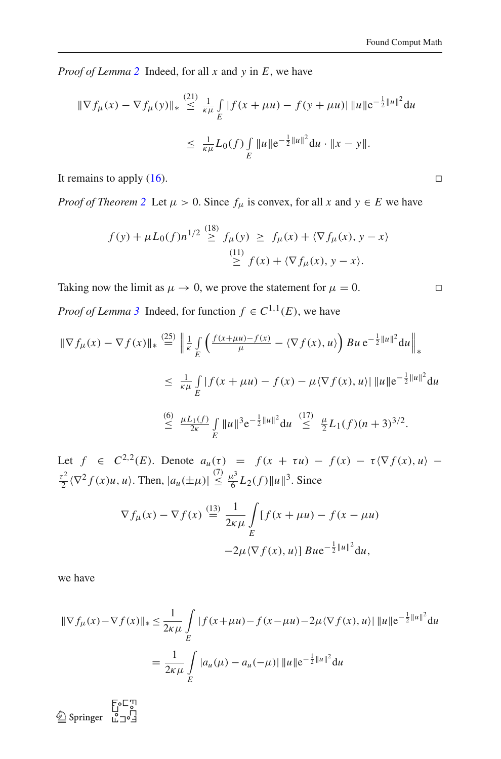*Proof of Lemma [2](#page-8-6)* Indeed, for all *x* and *y* in *E*, we have

$$
\|\nabla f_{\mu}(x) - \nabla f_{\mu}(y)\|_{*} \stackrel{(21)}{\leq} \frac{1}{\kappa \mu} \int_{E} |f(x + \mu u) - f(y + \mu u)| \, \|u\| e^{-\frac{1}{2} \|u\|^{2}} du
$$
  

$$
\leq \frac{1}{\kappa \mu} L_{0}(f) \int_{E} \|u\| e^{-\frac{1}{2} \|u\|^{2}} du \cdot \|x - y\|.
$$

It remains to apply  $(16)$ . □

*Proof of Theorem* [2](#page-8-3) Let  $\mu > 0$ . Since  $f_{\mu}$  is convex, for all *x* and  $y \in E$  we have

$$
f(y) + \mu L_0(f)n^{1/2} \stackrel{(18)}{\geq} f_{\mu}(y) \geq f_{\mu}(x) + \langle \nabla f_{\mu}(x), y - x \rangle
$$
  

$$
\stackrel{(11)}{\geq} f(x) + \langle \nabla f_{\mu}(x), y - x \rangle.
$$

Taking now the limit as  $\mu \to 0$ , we prove the statement for  $\mu = 0$ . □ *Proof of Lemma* [3](#page-8-4) Indeed, for function  $f \in C^{1,1}(E)$ , we have

$$
\|\nabla f_{\mu}(x) - \nabla f(x)\|_{*} \stackrel{(25)}{=} \left\| \frac{1}{\kappa} \int_{E} \left( \frac{f(x + \mu u) - f(x)}{\mu} - \langle \nabla f(x), u \rangle \right) Bu e^{-\frac{1}{2} ||u||^{2}} du \right\|_{*}
$$
  
\n
$$
\leq \frac{1}{\kappa \mu} \int_{E} |f(x + \mu u) - f(x) - \mu \langle \nabla f(x), u \rangle| ||u|| e^{-\frac{1}{2} ||u||^{2}} du
$$
  
\n
$$
\stackrel{(6)}{\leq} \frac{\mu L_{1}(f)}{2\kappa} \int_{E} ||u||^{3} e^{-\frac{1}{2} ||u||^{2}} du \stackrel{(17)}{\leq} \frac{\mu}{2} L_{1}(f)(n+3)^{3/2}.
$$

Let  $f \in C^{2,2}(E)$ . Denote  $a_u(\tau) = f(x + \tau u) - f(x) - \tau \langle \nabla f(x), u \rangle \frac{\tau^2}{2}$  $\frac{\hbar^2}{2} \langle \nabla^2 f(x)u, u \rangle$ . Then,  $|a_u(\pm \mu)| \leq$  $\leq \frac{\mu^3}{6}$  $\frac{L^3}{6}L_2(f)\|u\|^3$ . Since

$$
\nabla f_{\mu}(x) - \nabla f(x) \stackrel{(13)}{=} \frac{1}{2\kappa\mu} \int_{E} [f(x + \mu u) - f(x - \mu u) -2\mu \langle \nabla f(x), u \rangle] B u e^{-\frac{1}{2}||u||^2} du,
$$

we have

$$
\|\nabla f_{\mu}(x) - \nabla f(x)\|_{*} \leq \frac{1}{2\kappa\mu} \int\limits_{E} |f(x + \mu u) - f(x - \mu u) - 2\mu \langle \nabla f(x), u \rangle| \, \|u\| \, e^{-\frac{1}{2} \|u\|^2} \, du
$$

$$
= \frac{1}{2\kappa\mu} \int\limits_{E} |a_{u}(\mu) - a_{u}(-\mu)| \, \|u\| \, e^{-\frac{1}{2} \|u\|^2} \, du
$$

 $\begin{picture}(120,115) \put(0,0){\line(1,0){155}} \put(15,0){\line(1,0){155}} \put(15,0){\line(1,0){155}} \put(15,0){\line(1,0){155}} \put(15,0){\line(1,0){155}} \put(15,0){\line(1,0){155}} \put(15,0){\line(1,0){155}} \put(15,0){\line(1,0){155}} \put(15,0){\line(1,0){155}} \put(15,0){\line(1,0){155}} \put(15,0){\line(1,0){155$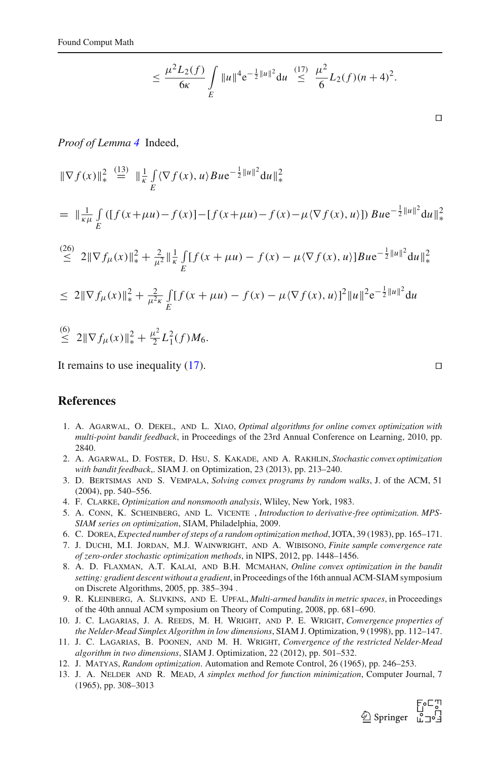$$
\leq \frac{\mu^2 L_2(f)}{6\kappa} \int\limits_{E} \|u\|^4 e^{-\frac{1}{2} \|u\|^2} du \leq \frac{(17)}{6} \frac{\mu^2}{6} L_2(f)(n+4)^2.
$$

⊓⊔

*Proof of Lemma [4](#page-9-3)* Indeed,

$$
\|\nabla f(x)\|_{*}^{2} \stackrel{(13)}{=} \|\frac{1}{\kappa} \int_{E} \langle \nabla f(x), u \rangle B u e^{-\frac{1}{2}||u||^{2}} du\|_{*}^{2}
$$
  
\n
$$
= \|\frac{1}{\kappa \mu} \int_{E} \left( [f(x + \mu u) - f(x)] - [f(x + \mu u) - f(x) - \mu \langle \nabla f(x), u \rangle] \right) B u e^{-\frac{1}{2}||u||^{2}} du\|_{*}^{2}
$$
  
\n
$$
\stackrel{(26)}{\leq} 2\|\nabla f_{\mu}(x)\|_{*}^{2} + \frac{2}{\mu^{2}}\|\frac{1}{\kappa} \int_{E} [f(x + \mu u) - f(x) - \mu \langle \nabla f(x), u \rangle] B u e^{-\frac{1}{2}||u||^{2}} du\|_{*}^{2}
$$
  
\n
$$
\leq 2\|\nabla f_{\mu}(x)\|_{*}^{2} + \frac{2}{\mu^{2} \kappa} \int_{E} [f(x + \mu u) - f(x) - \mu \langle \nabla f(x), u \rangle]^{2} ||u||^{2} e^{-\frac{1}{2}||u||^{2}} du
$$
  
\n
$$
\stackrel{(6)}{\leq} 2\|\nabla f_{\mu}(x)\|_{*}^{2} + \frac{\mu^{2}}{2} L_{1}^{2}(f) M_{6}.
$$

It remains to use inequality [\(17\)](#page-7-2). ⊓⊔

### <span id="page-38-8"></span>**References**

- 1. A. Agarwal, O. Dekel, and L. Xiao, *Optimal algorithms for online convex optimization with multi-point bandit feedback*, in Proceedings of the 23rd Annual Conference on Learning, 2010, pp. 2840.
- <span id="page-38-9"></span>2. A. Agarwal, D. Foster, D. Hsu, S. Kakade, and A. Rakhlin, *Stochastic convex optimization with bandit feedback*,. SIAM J. on Optimization, 23 (2013), pp. 213–240.
- <span id="page-38-10"></span>3. D. Bertsimas and S. Vempala, *Solving convex programs by random walks*, J. of the ACM, 51 (2004), pp. 540–556.
- <span id="page-38-5"></span>4. F. Clarke, *Optimization and nonsmooth analysis*, Wliley, New York, 1983.
- <span id="page-38-4"></span>5. A. Conn, K. Scheinberg, and L. Vicente , *Introduction to derivative-free optimization. MPS-SIAM series on optimization*, SIAM, Philadelphia, 2009.
- <span id="page-38-12"></span><span id="page-38-6"></span>6. C. Dorea, *Expected number of steps of a random optimization method*, JOTA, 39 (1983), pp. 165–171.
- 7. J. Duchi, M.I. Jordan, M.J. Wainwright, and A. Wibisono, *Finite sample convergence rate of zero-order stochastic optimization methods*, in NIPS, 2012, pp. 1448–1456.
- <span id="page-38-7"></span>8. A. D. Flaxman, A.T. Kalai, and B.H. Mcmahan, *Online convex optimization in the bandit setting: gradient descent without a gradient*, in Proceedings of the 16th annual ACM-SIAM symposium on Discrete Algorithms, 2005, pp. 385–394 .
- 9. R. Kleinberg, A. Slivkins, and E. Upfal, *Multi-armed bandits in metric spaces*, in Proceedings of the 40th annual ACM symposium on Theory of Computing, 2008, pp. 681–690.
- <span id="page-38-11"></span><span id="page-38-2"></span>10. J. C. Lagarias, J. A. Reeds, M. H. Wright, and P. E. Wright, *Convergence properties of the Nelder-Mead Simplex Algorithm in low dimensions*, SIAM J. Optimization, 9 (1998), pp. 112–147.
- <span id="page-38-3"></span>11. J. C. Lagarias, B. Poonen, and M. H. Wright, *Convergence of the restricted Nelder-Mead algorithm in two dimensions*, SIAM J. Optimization, 22 (2012), pp. 501–532.
- <span id="page-38-0"></span>12. J. Matyas, *Random optimization*. Automation and Remote Control, 26 (1965), pp. 246–253.
- <span id="page-38-1"></span>13. J. A. Nelder and R. Mead, *A simplex method for function minimization*, Computer Journal, 7 (1965), pp. 308–3013